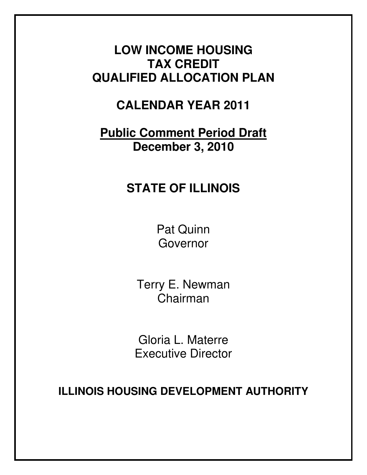# **LOW INCOME HOUSING TAX CREDIT QUALIFIED ALLOCATION PLAN**

# **CALENDAR YEAR 2011**

# **Public Comment Period Draft December 3, 2010**

# **STATE OF ILLINOIS**

Pat Quinn Governor

Terry E. Newman Chairman

Gloria L. Materre Executive Director

**ILLINOIS HOUSING DEVELOPMENT AUTHORITY**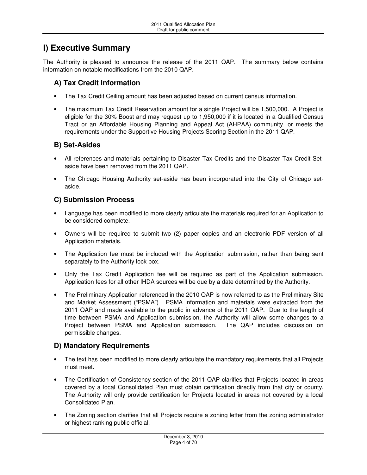# **I) Executive Summary**

The Authority is pleased to announce the release of the 2011 QAP. The summary below contains information on notable modifications from the 2010 QAP.

# **A) Tax Credit Information**

- The Tax Credit Ceiling amount has been adjusted based on current census information.
- The maximum Tax Credit Reservation amount for a single Project will be 1,500,000. A Project is eligible for the 30% Boost and may request up to 1,950,000 if it is located in a Qualified Census Tract or an Affordable Housing Planning and Appeal Act (AHPAA) community, or meets the requirements under the Supportive Housing Projects Scoring Section in the 2011 QAP.

# **B) Set-Asides**

- All references and materials pertaining to Disaster Tax Credits and the Disaster Tax Credit Setaside have been removed from the 2011 QAP.
- The Chicago Housing Authority set-aside has been incorporated into the City of Chicago setaside.

# **C) Submission Process**

- Language has been modified to more clearly articulate the materials required for an Application to be considered complete.
- Owners will be required to submit two (2) paper copies and an electronic PDF version of all Application materials.
- The Application fee must be included with the Application submission, rather than being sent separately to the Authority lock box.
- Only the Tax Credit Application fee will be required as part of the Application submission. Application fees for all other IHDA sources will be due by a date determined by the Authority.
- The Preliminary Application referenced in the 2010 QAP is now referred to as the Preliminary Site and Market Assessment ("PSMA"). PSMA information and materials were extracted from the 2011 QAP and made available to the public in advance of the 2011 QAP. Due to the length of time between PSMA and Application submission, the Authority will allow some changes to a Project between PSMA and Application submission. The QAP includes discussion on permissible changes.

# **D) Mandatory Requirements**

- The text has been modified to more clearly articulate the mandatory requirements that all Projects must meet.
- The Certification of Consistency section of the 2011 QAP clarifies that Projects located in areas covered by a local Consolidated Plan must obtain certification directly from that city or county. The Authority will only provide certification for Projects located in areas not covered by a local Consolidated Plan.
- The Zoning section clarifies that all Projects require a zoning letter from the zoning administrator or highest ranking public official.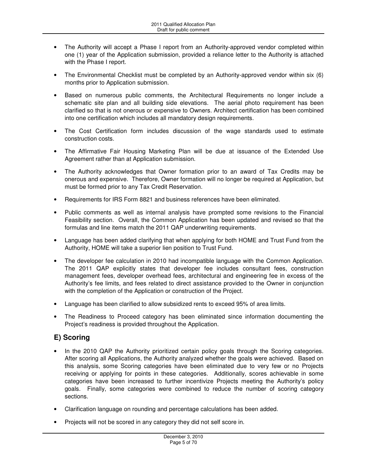- The Authority will accept a Phase I report from an Authority-approved vendor completed within one (1) year of the Application submission, provided a reliance letter to the Authority is attached with the Phase I report.
- The Environmental Checklist must be completed by an Authority-approved vendor within six (6) months prior to Application submission.
- Based on numerous public comments, the Architectural Requirements no longer include a schematic site plan and all building side elevations. The aerial photo requirement has been clarified so that is not onerous or expensive to Owners. Architect certification has been combined into one certification which includes all mandatory design requirements.
- The Cost Certification form includes discussion of the wage standards used to estimate construction costs.
- The Affirmative Fair Housing Marketing Plan will be due at issuance of the Extended Use Agreement rather than at Application submission.
- The Authority acknowledges that Owner formation prior to an award of Tax Credits may be onerous and expensive. Therefore, Owner formation will no longer be required at Application, but must be formed prior to any Tax Credit Reservation.
- Requirements for IRS Form 8821 and business references have been eliminated.
- Public comments as well as internal analysis have prompted some revisions to the Financial Feasibility section. Overall, the Common Application has been updated and revised so that the formulas and line items match the 2011 QAP underwriting requirements.
- Language has been added clarifying that when applying for both HOME and Trust Fund from the Authority, HOME will take a superior lien position to Trust Fund.
- The developer fee calculation in 2010 had incompatible language with the Common Application. The 2011 QAP explicitly states that developer fee includes consultant fees, construction management fees, developer overhead fees, architectural and engineering fee in excess of the Authority's fee limits, and fees related to direct assistance provided to the Owner in conjunction with the completion of the Application or construction of the Project.
- Language has been clarified to allow subsidized rents to exceed 95% of area limits.
- The Readiness to Proceed category has been eliminated since information documenting the Project's readiness is provided throughout the Application.

# **E) Scoring**

- In the 2010 QAP the Authority prioritized certain policy goals through the Scoring categories. After scoring all Applications, the Authority analyzed whether the goals were achieved. Based on this analysis, some Scoring categories have been eliminated due to very few or no Projects receiving or applying for points in these categories. Additionally, scores achievable in some categories have been increased to further incentivize Projects meeting the Authority's policy goals. Finally, some categories were combined to reduce the number of scoring category sections.
- Clarification language on rounding and percentage calculations has been added.
- Projects will not be scored in any category they did not self score in.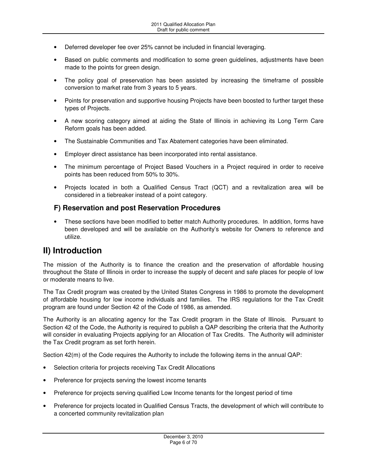- Deferred developer fee over 25% cannot be included in financial leveraging.
- Based on public comments and modification to some green guidelines, adjustments have been made to the points for green design.
- The policy goal of preservation has been assisted by increasing the timeframe of possible conversion to market rate from 3 years to 5 years.
- Points for preservation and supportive housing Projects have been boosted to further target these types of Projects.
- A new scoring category aimed at aiding the State of Illinois in achieving its Long Term Care Reform goals has been added.
- The Sustainable Communities and Tax Abatement categories have been eliminated.
- Employer direct assistance has been incorporated into rental assistance.
- The minimum percentage of Project Based Vouchers in a Project required in order to receive points has been reduced from 50% to 30%.
- Projects located in both a Qualified Census Tract (QCT) and a revitalization area will be considered in a tiebreaker instead of a point category.

## **F) Reservation and post Reservation Procedures**

• These sections have been modified to better match Authority procedures. In addition, forms have been developed and will be available on the Authority's website for Owners to reference and utilize.

# **II) Introduction**

The mission of the Authority is to finance the creation and the preservation of affordable housing throughout the State of Illinois in order to increase the supply of decent and safe places for people of low or moderate means to live.

The Tax Credit program was created by the United States Congress in 1986 to promote the development of affordable housing for low income individuals and families. The IRS regulations for the Tax Credit program are found under Section 42 of the Code of 1986, as amended.

The Authority is an allocating agency for the Tax Credit program in the State of Illinois. Pursuant to Section 42 of the Code, the Authority is required to publish a QAP describing the criteria that the Authority will consider in evaluating Projects applying for an Allocation of Tax Credits. The Authority will administer the Tax Credit program as set forth herein.

Section 42(m) of the Code requires the Authority to include the following items in the annual QAP:

- Selection criteria for projects receiving Tax Credit Allocations
- Preference for projects serving the lowest income tenants
- Preference for projects serving qualified Low Income tenants for the longest period of time
- Preference for projects located in Qualified Census Tracts, the development of which will contribute to a concerted community revitalization plan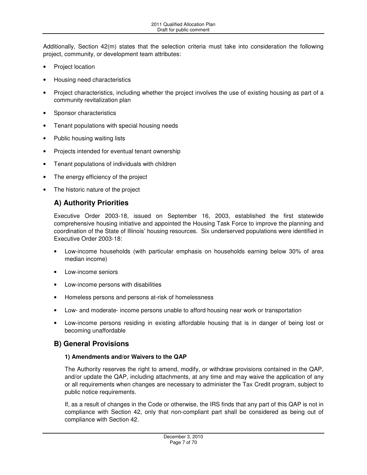Additionally, Section 42(m) states that the selection criteria must take into consideration the following project, community, or development team attributes:

- Project location
- Housing need characteristics
- Project characteristics, including whether the project involves the use of existing housing as part of a community revitalization plan
- Sponsor characteristics
- Tenant populations with special housing needs
- Public housing waiting lists
- Projects intended for eventual tenant ownership
- Tenant populations of individuals with children
- The energy efficiency of the project
- The historic nature of the project

# **A) Authority Priorities**

Executive Order 2003-18, issued on September 16, 2003, established the first statewide comprehensive housing initiative and appointed the Housing Task Force to improve the planning and coordination of the State of Illinois' housing resources. Six underserved populations were identified in Executive Order 2003-18:

- Low-income households (with particular emphasis on households earning below 30% of area median income)
- Low-income seniors
- Low-income persons with disabilities
- Homeless persons and persons at-risk of homelessness
- Low- and moderate- income persons unable to afford housing near work or transportation
- Low-income persons residing in existing affordable housing that is in danger of being lost or becoming unaffordable

# **B) General Provisions**

### **1) Amendments and/or Waivers to the QAP**

The Authority reserves the right to amend, modify, or withdraw provisions contained in the QAP, and/or update the QAP, including attachments, at any time and may waive the application of any or all requirements when changes are necessary to administer the Tax Credit program, subject to public notice requirements.

If, as a result of changes in the Code or otherwise, the IRS finds that any part of this QAP is not in compliance with Section 42, only that non-compliant part shall be considered as being out of compliance with Section 42.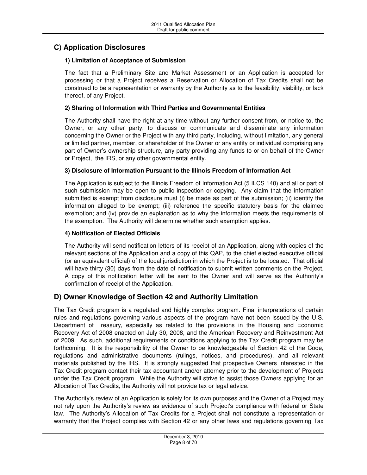# **C) Application Disclosures**

### **1) Limitation of Acceptance of Submission**

The fact that a Preliminary Site and Market Assessment or an Application is accepted for processing or that a Project receives a Reservation or Allocation of Tax Credits shall not be construed to be a representation or warranty by the Authority as to the feasibility, viability, or lack thereof, of any Project.

### **2) Sharing of Information with Third Parties and Governmental Entities**

The Authority shall have the right at any time without any further consent from, or notice to, the Owner, or any other party, to discuss or communicate and disseminate any information concerning the Owner or the Project with any third party, including, without limitation, any general or limited partner, member, or shareholder of the Owner or any entity or individual comprising any part of Owner's ownership structure, any party providing any funds to or on behalf of the Owner or Project, the IRS, or any other governmental entity.

### **3) Disclosure of Information Pursuant to the Illinois Freedom of Information Act**

The Application is subject to the Illinois Freedom of Information Act (5 ILCS 140) and all or part of such submission may be open to public inspection or copying. Any claim that the information submitted is exempt from disclosure must (i) be made as part of the submission; (ii) identify the information alleged to be exempt; (iii) reference the specific statutory basis for the claimed exemption; and (iv) provide an explanation as to why the information meets the requirements of the exemption. The Authority will determine whether such exemption applies.

### **4) Notification of Elected Officials**

The Authority will send notification letters of its receipt of an Application, along with copies of the relevant sections of the Application and a copy of this QAP, to the chief elected executive official (or an equivalent official) of the local jurisdiction in which the Project is to be located. That official will have thirty (30) days from the date of notification to submit written comments on the Project. A copy of this notification letter will be sent to the Owner and will serve as the Authority's confirmation of receipt of the Application.

### **D) Owner Knowledge of Section 42 and Authority Limitation**

The Tax Credit program is a regulated and highly complex program. Final interpretations of certain rules and regulations governing various aspects of the program have not been issued by the U.S. Department of Treasury, especially as related to the provisions in the Housing and Economic Recovery Act of 2008 enacted on July 30, 2008, and the American Recovery and Reinvestment Act of 2009. As such, additional requirements or conditions applying to the Tax Credit program may be forthcoming. It is the responsibility of the Owner to be knowledgeable of Section 42 of the Code, regulations and administrative documents (rulings, notices, and procedures), and all relevant materials published by the IRS. It is strongly suggested that prospective Owners interested in the Tax Credit program contact their tax accountant and/or attorney prior to the development of Projects under the Tax Credit program. While the Authority will strive to assist those Owners applying for an Allocation of Tax Credits, the Authority will not provide tax or legal advice.

The Authority's review of an Application is solely for its own purposes and the Owner of a Project may not rely upon the Authority's review as evidence of such Project's compliance with federal or State law. The Authority's Allocation of Tax Credits for a Project shall not constitute a representation or warranty that the Project complies with Section 42 or any other laws and regulations governing Tax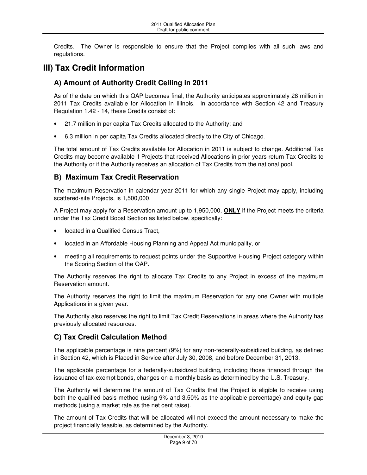Credits. The Owner is responsible to ensure that the Project complies with all such laws and regulations.

# **III) Tax Credit Information**

# **A) Amount of Authority Credit Ceiling in 2011**

As of the date on which this QAP becomes final, the Authority anticipates approximately 28 million in 2011 Tax Credits available for Allocation in Illinois. In accordance with Section 42 and Treasury Regulation 1.42 - 14, these Credits consist of:

- 21.7 million in per capita Tax Credits allocated to the Authority; and
- 6.3 million in per capita Tax Credits allocated directly to the City of Chicago.

The total amount of Tax Credits available for Allocation in 2011 is subject to change. Additional Tax Credits may become available if Projects that received Allocations in prior years return Tax Credits to the Authority or if the Authority receives an allocation of Tax Credits from the national pool.

# **B) Maximum Tax Credit Reservation**

The maximum Reservation in calendar year 2011 for which any single Project may apply, including scattered-site Projects, is 1,500,000.

A Project may apply for a Reservation amount up to 1,950,000, **ONLY** if the Project meets the criteria under the Tax Credit Boost Section as listed below, specifically:

- located in a Qualified Census Tract,
- located in an Affordable Housing Planning and Appeal Act municipality, or
- meeting all requirements to request points under the Supportive Housing Project category within the Scoring Section of the QAP.

The Authority reserves the right to allocate Tax Credits to any Project in excess of the maximum Reservation amount.

The Authority reserves the right to limit the maximum Reservation for any one Owner with multiple Applications in a given year.

The Authority also reserves the right to limit Tax Credit Reservations in areas where the Authority has previously allocated resources.

# **C) Tax Credit Calculation Method**

The applicable percentage is nine percent (9%) for any non-federally-subsidized building, as defined in Section 42, which is Placed in Service after July 30, 2008, and before December 31, 2013.

The applicable percentage for a federally-subsidized building, including those financed through the issuance of tax-exempt bonds, changes on a monthly basis as determined by the U.S. Treasury.

The Authority will determine the amount of Tax Credits that the Project is eligible to receive using both the qualified basis method (using 9% and 3.50% as the applicable percentage) and equity gap methods (using a market rate as the net cent raise).

The amount of Tax Credits that will be allocated will not exceed the amount necessary to make the project financially feasible, as determined by the Authority.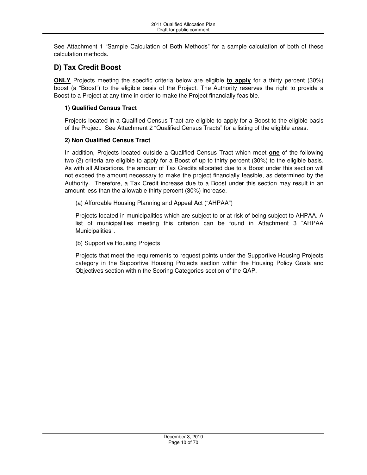See Attachment 1 "Sample Calculation of Both Methods" for a sample calculation of both of these calculation methods.

# **D) Tax Credit Boost**

**ONLY** Projects meeting the specific criteria below are eligible **to apply** for a thirty percent (30%) boost (a "Boost") to the eligible basis of the Project. The Authority reserves the right to provide a Boost to a Project at any time in order to make the Project financially feasible.

### **1) Qualified Census Tract**

Projects located in a Qualified Census Tract are eligible to apply for a Boost to the eligible basis of the Project. See Attachment 2 "Qualified Census Tracts" for a listing of the eligible areas.

### **2) Non Qualified Census Tract**

In addition, Projects located outside a Qualified Census Tract which meet **one** of the following two (2) criteria are eligible to apply for a Boost of up to thirty percent (30%) to the eligible basis. As with all Allocations, the amount of Tax Credits allocated due to a Boost under this section will not exceed the amount necessary to make the project financially feasible, as determined by the Authority. Therefore, a Tax Credit increase due to a Boost under this section may result in an amount less than the allowable thirty percent (30%) increase.

### (a) Affordable Housing Planning and Appeal Act ("AHPAA")

Projects located in municipalities which are subject to or at risk of being subject to AHPAA. A list of municipalities meeting this criterion can be found in Attachment 3 "AHPAA Municipalities".

### (b) Supportive Housing Projects

Projects that meet the requirements to request points under the Supportive Housing Projects category in the Supportive Housing Projects section within the Housing Policy Goals and Objectives section within the Scoring Categories section of the QAP.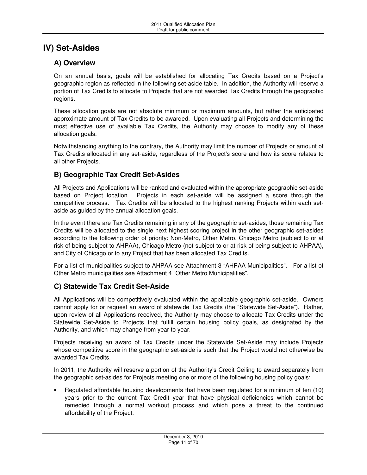# **IV) Set-Asides**

# **A) Overview**

On an annual basis, goals will be established for allocating Tax Credits based on a Project's geographic region as reflected in the following set-aside table. In addition, the Authority will reserve a portion of Tax Credits to allocate to Projects that are not awarded Tax Credits through the geographic regions.

These allocation goals are not absolute minimum or maximum amounts, but rather the anticipated approximate amount of Tax Credits to be awarded. Upon evaluating all Projects and determining the most effective use of available Tax Credits, the Authority may choose to modify any of these allocation goals.

Notwithstanding anything to the contrary, the Authority may limit the number of Projects or amount of Tax Credits allocated in any set-aside, regardless of the Project's score and how its score relates to all other Projects.

# **B) Geographic Tax Credit Set-Asides**

All Projects and Applications will be ranked and evaluated within the appropriate geographic set-aside based on Project location. Projects in each set-aside will be assigned a score through the competitive process. Tax Credits will be allocated to the highest ranking Projects within each setaside as guided by the annual allocation goals.

In the event there are Tax Credits remaining in any of the geographic set-asides, those remaining Tax Credits will be allocated to the single next highest scoring project in the other geographic set-asides according to the following order of priority: Non-Metro, Other Metro, Chicago Metro (subject to or at risk of being subject to AHPAA), Chicago Metro (not subject to or at risk of being subject to AHPAA), and City of Chicago or to any Project that has been allocated Tax Credits.

For a list of municipalities subject to AHPAA see Attachment 3 "AHPAA Municipalities". For a list of Other Metro municipalities see Attachment 4 "Other Metro Municipalities".

# **C) Statewide Tax Credit Set-Aside**

All Applications will be competitively evaluated within the applicable geographic set-aside. Owners cannot apply for or request an award of statewide Tax Credits (the "Statewide Set-Aside"). Rather, upon review of all Applications received, the Authority may choose to allocate Tax Credits under the Statewide Set-Aside to Projects that fulfill certain housing policy goals, as designated by the Authority, and which may change from year to year.

Projects receiving an award of Tax Credits under the Statewide Set-Aside may include Projects whose competitive score in the geographic set-aside is such that the Project would not otherwise be awarded Tax Credits.

In 2011, the Authority will reserve a portion of the Authority's Credit Ceiling to award separately from the geographic set-asides for Projects meeting one or more of the following housing policy goals:

• Regulated affordable housing developments that have been regulated for a minimum of ten (10) years prior to the current Tax Credit year that have physical deficiencies which cannot be remedied through a normal workout process and which pose a threat to the continued affordability of the Project.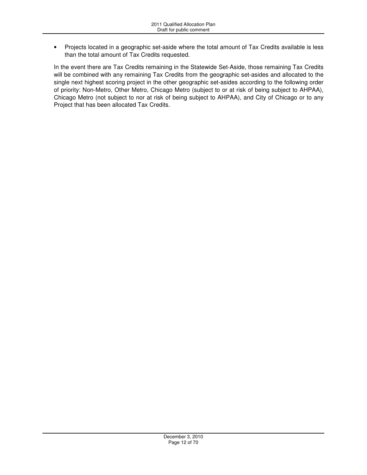• Projects located in a geographic set-aside where the total amount of Tax Credits available is less than the total amount of Tax Credits requested.

In the event there are Tax Credits remaining in the Statewide Set-Aside, those remaining Tax Credits will be combined with any remaining Tax Credits from the geographic set-asides and allocated to the single next highest scoring project in the other geographic set-asides according to the following order of priority: Non-Metro, Other Metro, Chicago Metro (subject to or at risk of being subject to AHPAA), Chicago Metro (not subject to nor at risk of being subject to AHPAA), and City of Chicago or to any Project that has been allocated Tax Credits.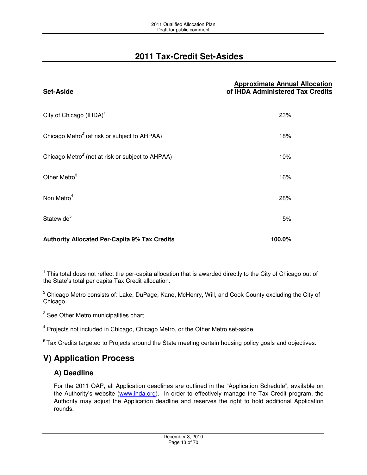# **2011 Tax-Credit Set-Asides**

| <b>Set-Aside</b>                                             | <b>Approximate Annual Allocation</b><br>of IHDA Administered Tax Credits |
|--------------------------------------------------------------|--------------------------------------------------------------------------|
| City of Chicago (IHDA) <sup>1</sup>                          | 23%                                                                      |
| Chicago Metro <sup>2</sup> (at risk or subject to AHPAA)     | 18%                                                                      |
| Chicago Metro <sup>2</sup> (not at risk or subject to AHPAA) | 10%                                                                      |
| Other Metro <sup>3</sup>                                     | 16%                                                                      |
| Non Metro <sup>4</sup>                                       | 28%                                                                      |
| Statewide <sup>5</sup>                                       | 5%                                                                       |
| <b>Authority Allocated Per-Capita 9% Tax Credits</b>         | 100.0%                                                                   |

 $1$  This total does not reflect the per-capita allocation that is awarded directly to the City of Chicago out of the State's total per capita Tax Credit allocation.

<sup>2</sup> Chicago Metro consists of: Lake, DuPage, Kane, McHenry, Will, and Cook County excluding the City of Chicago.

<sup>3</sup> See Other Metro municipalities chart

<sup>4</sup> Projects not included in Chicago, Chicago Metro, or the Other Metro set-aside

<sup>5</sup> Tax Credits targeted to Projects around the State meeting certain housing policy goals and objectives.

# **V) Application Process**

# **A) Deadline**

For the 2011 QAP, all Application deadlines are outlined in the "Application Schedule", available on the Authority's website (www.ihda.org). In order to effectively manage the Tax Credit program, the Authority may adjust the Application deadline and reserves the right to hold additional Application rounds.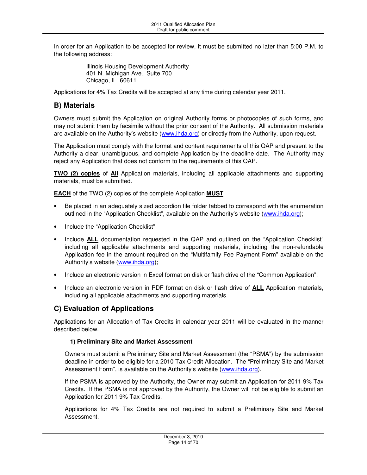In order for an Application to be accepted for review, it must be submitted no later than 5:00 P.M. to the following address:

> Illinois Housing Development Authority 401 N. Michigan Ave., Suite 700 Chicago, IL 60611

Applications for 4% Tax Credits will be accepted at any time during calendar year 2011.

# **B) Materials**

Owners must submit the Application on original Authority forms or photocopies of such forms, and may not submit them by facsimile without the prior consent of the Authority. All submission materials are available on the Authority's website (www.ihda.org) or directly from the Authority, upon request.

The Application must comply with the format and content requirements of this QAP and present to the Authority a clear, unambiguous, and complete Application by the deadline date. The Authority may reject any Application that does not conform to the requirements of this QAP.

**TWO (2) copies** of **All** Application materials, including all applicable attachments and supporting materials, must be submitted.

**EACH** of the TWO (2) copies of the complete Application **MUST**

- Be placed in an adequately sized accordion file folder tabbed to correspond with the enumeration outlined in the "Application Checklist", available on the Authority's website (www.ihda.org);
- Include the "Application Checklist"
- Include **ALL** documentation requested in the QAP and outlined on the "Application Checklist" including all applicable attachments and supporting materials, including the non-refundable Application fee in the amount required on the "Multifamily Fee Payment Form" available on the Authority's website (www.ihda.org);
- Include an electronic version in Excel format on disk or flash drive of the "Common Application";
- Include an electronic version in PDF format on disk or flash drive of **ALL** Application materials, including all applicable attachments and supporting materials.

# **C) Evaluation of Applications**

Applications for an Allocation of Tax Credits in calendar year 2011 will be evaluated in the manner described below.

### **1) Preliminary Site and Market Assessment**

Owners must submit a Preliminary Site and Market Assessment (the "PSMA") by the submission deadline in order to be eligible for a 2010 Tax Credit Allocation. The "Preliminary Site and Market Assessment Form", is available on the Authority's website (www.ihda.org).

If the PSMA is approved by the Authority, the Owner may submit an Application for 2011 9% Tax Credits. If the PSMA is not approved by the Authority, the Owner will not be eligible to submit an Application for 2011 9% Tax Credits.

Applications for 4% Tax Credits are not required to submit a Preliminary Site and Market Assessment.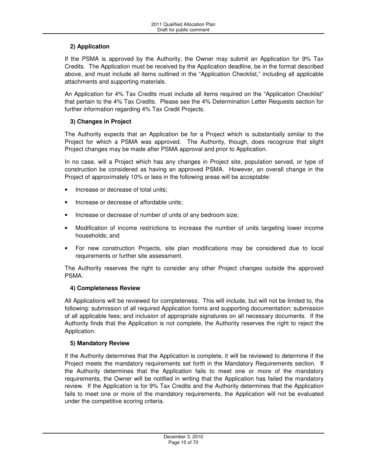### **2) Application**

If the PSMA is approved by the Authority, the Owner may submit an Application for 9% Tax Credits. The Application must be received by the Application deadline, be in the format described above, and must include all items outlined in the "Application Checklist," including all applicable attachments and supporting materials.

An Application for 4% Tax Credits must include all items required on the "Application Checklist" that pertain to the 4% Tax Credits. Please see the 4% Determination Letter Requests section for further information regarding 4% Tax Credit Projects.

### **3) Changes in Project**

The Authority expects that an Application be for a Project which is substantially similar to the Project for which a PSMA was approved. The Authority, though, does recognize that slight Project changes may be made after PSMA approval and prior to Application.

In no case, will a Project which has any changes in Project site, population served, or type of construction be considered as having an approved PSMA. However, an overall change in the Project of approximately 10% or less in the following areas will be acceptable:

- Increase or decrease of total units;
- Increase or decrease of affordable units;
- Increase or decrease of number of units of any bedroom size;
- Modification of income restrictions to increase the number of units targeting lower income households; and
- For new construction Projects, site plan modifications may be considered due to local requirements or further site assessment.

The Authority reserves the right to consider any other Project changes outside the approved PSMA.

### **4) Completeness Review**

All Applications will be reviewed for completeness. This will include, but will not be limited to, the following: submission of all required Application forms and supporting documentation; submission of all applicable fees; and inclusion of appropriate signatures on all necessary documents. If the Authority finds that the Application is not complete, the Authority reserves the right to reject the Application.

### **5) Mandatory Review**

If the Authority determines that the Application is complete, it will be reviewed to determine if the Project meets the mandatory requirements set forth in the Mandatory Requirements section. If the Authority determines that the Application fails to meet one or more of the mandatory requirements, the Owner will be notified in writing that the Application has failed the mandatory review. If the Application is for 9% Tax Credits and the Authority determines that the Application fails to meet one or more of the mandatory requirements, the Application will not be evaluated under the competitive scoring criteria.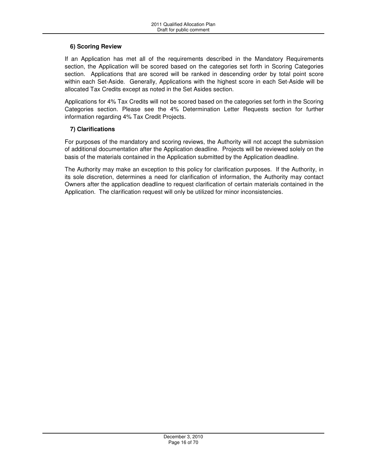### **6) Scoring Review**

If an Application has met all of the requirements described in the Mandatory Requirements section, the Application will be scored based on the categories set forth in Scoring Categories section. Applications that are scored will be ranked in descending order by total point score within each Set-Aside. Generally, Applications with the highest score in each Set-Aside will be allocated Tax Credits except as noted in the Set Asides section.

Applications for 4% Tax Credits will not be scored based on the categories set forth in the Scoring Categories section. Please see the 4% Determination Letter Requests section for further information regarding 4% Tax Credit Projects.

### **7) Clarifications**

For purposes of the mandatory and scoring reviews, the Authority will not accept the submission of additional documentation after the Application deadline. Projects will be reviewed solely on the basis of the materials contained in the Application submitted by the Application deadline.

The Authority may make an exception to this policy for clarification purposes. If the Authority, in its sole discretion, determines a need for clarification of information, the Authority may contact Owners after the application deadline to request clarification of certain materials contained in the Application. The clarification request will only be utilized for minor inconsistencies.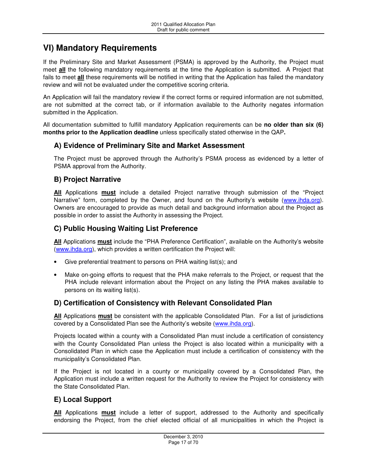# **VI) Mandatory Requirements**

If the Preliminary Site and Market Assessment (PSMA) is approved by the Authority, the Project must meet **all** the following mandatory requirements at the time the Application is submitted. A Project that fails to meet **all** these requirements will be notified in writing that the Application has failed the mandatory review and will not be evaluated under the competitive scoring criteria.

An Application will fail the mandatory review if the correct forms or required information are not submitted, are not submitted at the correct tab, or if information available to the Authority negates information submitted in the Application.

All documentation submitted to fulfill mandatory Application requirements can be **no older than six (6) months prior to the Application deadline** unless specifically stated otherwise in the QAP**.** 

## **A) Evidence of Preliminary Site and Market Assessment**

The Project must be approved through the Authority's PSMA process as evidenced by a letter of PSMA approval from the Authority.

### **B) Project Narrative**

**All** Applications **must** include a detailed Project narrative through submission of the "Project Narrative" form, completed by the Owner, and found on the Authority's website (www.ihda.org). Owners are encouraged to provide as much detail and background information about the Project as possible in order to assist the Authority in assessing the Project.

## **C) Public Housing Waiting List Preference**

**All** Applications **must** include the "PHA Preference Certification", available on the Authority's website (www.ihda.org), which provides a written certification the Project will:

- Give preferential treatment to persons on PHA waiting list(s); and
- Make on-going efforts to request that the PHA make referrals to the Project, or request that the PHA include relevant information about the Project on any listing the PHA makes available to persons on its waiting list(s).

### **D) Certification of Consistency with Relevant Consolidated Plan**

**All** Applications **must** be consistent with the applicable Consolidated Plan. For a list of jurisdictions covered by a Consolidated Plan see the Authority's website (www.ihda.org).

Projects located within a county with a Consolidated Plan must include a certification of consistency with the County Consolidated Plan unless the Project is also located within a municipality with a Consolidated Plan in which case the Application must include a certification of consistency with the municipality's Consolidated Plan.

If the Project is not located in a county or municipality covered by a Consolidated Plan, the Application must include a written request for the Authority to review the Project for consistency with the State Consolidated Plan.

### **E) Local Support**

**All** Applications **must** include a letter of support, addressed to the Authority and specifically endorsing the Project, from the chief elected official of all municipalities in which the Project is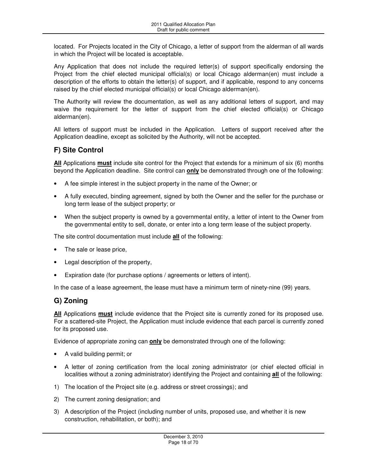located. For Projects located in the City of Chicago, a letter of support from the alderman of all wards in which the Project will be located is acceptable.

Any Application that does not include the required letter(s) of support specifically endorsing the Project from the chief elected municipal official(s) or local Chicago alderman(en) must include a description of the efforts to obtain the letter(s) of support, and if applicable, respond to any concerns raised by the chief elected municipal official(s) or local Chicago alderman(en).

The Authority will review the documentation, as well as any additional letters of support, and may waive the requirement for the letter of support from the chief elected official(s) or Chicago alderman(en).

All letters of support must be included in the Application. Letters of support received after the Application deadline, except as solicited by the Authority, will not be accepted.

# **F) Site Control**

**All** Applications **must** include site control for the Project that extends for a minimum of six (6) months beyond the Application deadline. Site control can **only** be demonstrated through one of the following:

- A fee simple interest in the subject property in the name of the Owner; or
- A fully executed, binding agreement, signed by both the Owner and the seller for the purchase or long term lease of the subject property; or
- When the subject property is owned by a governmental entity, a letter of intent to the Owner from the governmental entity to sell, donate, or enter into a long term lease of the subject property.

The site control documentation must include **all** of the following:

- The sale or lease price,
- Legal description of the property,
- Expiration date (for purchase options / agreements or letters of intent).

In the case of a lease agreement, the lease must have a minimum term of ninety-nine (99) years.

# **G) Zoning**

**All** Applications **must** include evidence that the Project site is currently zoned for its proposed use. For a scattered-site Project, the Application must include evidence that each parcel is currently zoned for its proposed use.

Evidence of appropriate zoning can **only** be demonstrated through one of the following:

- A valid building permit; or
- A letter of zoning certification from the local zoning administrator (or chief elected official in localities without a zoning administrator) identifying the Project and containing **all** of the following:
- 1) The location of the Project site (e.g. address or street crossings); and
- 2) The current zoning designation; and
- 3) A description of the Project (including number of units, proposed use, and whether it is new construction, rehabilitation, or both); and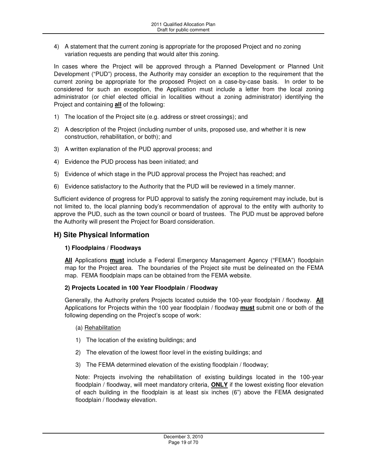4) A statement that the current zoning is appropriate for the proposed Project and no zoning variation requests are pending that would alter this zoning.

In cases where the Project will be approved through a Planned Development or Planned Unit Development ("PUD") process, the Authority may consider an exception to the requirement that the current zoning be appropriate for the proposed Project on a case-by-case basis. In order to be considered for such an exception, the Application must include a letter from the local zoning administrator (or chief elected official in localities without a zoning administrator) identifying the Project and containing **all** of the following:

- 1) The location of the Project site (e.g. address or street crossings); and
- 2) A description of the Project (including number of units, proposed use, and whether it is new construction, rehabilitation, or both); and
- 3) A written explanation of the PUD approval process; and
- 4) Evidence the PUD process has been initiated; and
- 5) Evidence of which stage in the PUD approval process the Project has reached; and
- 6) Evidence satisfactory to the Authority that the PUD will be reviewed in a timely manner.

Sufficient evidence of progress for PUD approval to satisfy the zoning requirement may include, but is not limited to, the local planning body's recommendation of approval to the entity with authority to approve the PUD, such as the town council or board of trustees. The PUD must be approved before the Authority will present the Project for Board consideration.

### **H) Site Physical Information**

### **1) Floodplains / Floodways**

**All** Applications **must** include a Federal Emergency Management Agency ("FEMA") floodplain map for the Project area. The boundaries of the Project site must be delineated on the FEMA map. FEMA floodplain maps can be obtained from the FEMA website.

### **2) Projects Located in 100 Year Floodplain / Floodway**

Generally, the Authority prefers Projects located outside the 100-year floodplain / floodway. **All** Applications for Projects within the 100 year floodplain / floodway **must** submit one or both of the following depending on the Project's scope of work:

- (a) Rehabilitation
- 1) The location of the existing buildings; and
- 2) The elevation of the lowest floor level in the existing buildings; and
- 3) The FEMA determined elevation of the existing floodplain / floodway;

Note: Projects involving the rehabilitation of existing buildings located in the 100-year floodplain / floodway, will meet mandatory criteria, **ONLY** if the lowest existing floor elevation of each building in the floodplain is at least six inches (6") above the FEMA designated floodplain / floodway elevation.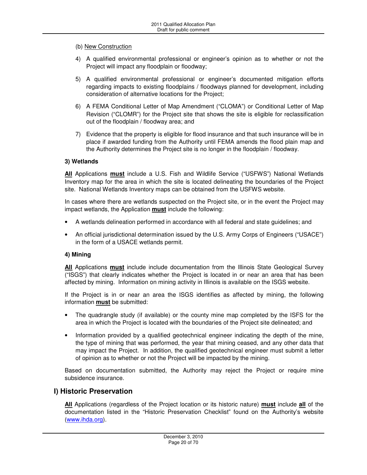### (b) New Construction

- 4) A qualified environmental professional or engineer's opinion as to whether or not the Project will impact any floodplain or floodway;
- 5) A qualified environmental professional or engineer's documented mitigation efforts regarding impacts to existing floodplains / floodways planned for development, including consideration of alternative locations for the Project;
- 6) A FEMA Conditional Letter of Map Amendment ("CLOMA") or Conditional Letter of Map Revision ("CLOMR") for the Project site that shows the site is eligible for reclassification out of the floodplain / floodway area; and
- 7) Evidence that the property is eligible for flood insurance and that such insurance will be in place if awarded funding from the Authority until FEMA amends the flood plain map and the Authority determines the Project site is no longer in the floodplain / floodway.

### **3) Wetlands**

**All** Applications **must** include a U.S. Fish and Wildlife Service ("USFWS") National Wetlands Inventory map for the area in which the site is located delineating the boundaries of the Project site. National Wetlands Inventory maps can be obtained from the USFWS website.

In cases where there are wetlands suspected on the Project site, or in the event the Project may impact wetlands, the Application **must** include the following:

- A wetlands delineation performed in accordance with all federal and state guidelines; and
- An official jurisdictional determination issued by the U.S. Army Corps of Engineers ("USACE") in the form of a USACE wetlands permit.

### **4) Mining**

**All** Applications **must** include include documentation from the Illinois State Geological Survey ("ISGS") that clearly indicates whether the Project is located in or near an area that has been affected by mining. Information on mining activity in Illinois is available on the ISGS website.

If the Project is in or near an area the ISGS identifies as affected by mining, the following information **must** be submitted:

- The quadrangle study (if available) or the county mine map completed by the ISFS for the area in which the Project is located with the boundaries of the Project site delineated; and
- Information provided by a qualified geotechnical engineer indicating the depth of the mine, the type of mining that was performed, the year that mining ceased, and any other data that may impact the Project. In addition, the qualified geotechnical engineer must submit a letter of opinion as to whether or not the Project will be impacted by the mining.

Based on documentation submitted, the Authority may reject the Project or require mine subsidence insurance.

### **I) Historic Preservation**

**All** Applications (regardless of the Project location or its historic nature) **must** include **all** of the documentation listed in the "Historic Preservation Checklist" found on the Authority's website (www.ihda.org).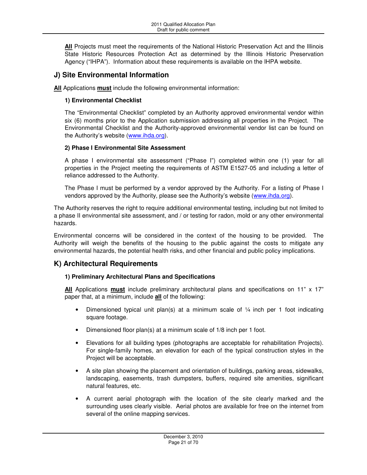**All** Projects must meet the requirements of the National Historic Preservation Act and the Illinois State Historic Resources Protection Act as determined by the Illinois Historic Preservation Agency ("IHPA"). Information about these requirements is available on the IHPA website.

## **J) Site Environmental Information**

**All** Applications **must** include the following environmental information:

### **1) Environmental Checklist**

The "Environmental Checklist" completed by an Authority approved environmental vendor within six (6) months prior to the Application submission addressing all properties in the Project. The Environmental Checklist and the Authority-approved environmental vendor list can be found on the Authority's website (www.ihda.org).

### **2) Phase I Environmental Site Assessment**

A phase I environmental site assessment ("Phase I") completed within one (1) year for all properties in the Project meeting the requirements of ASTM E1527-05 and including a letter of reliance addressed to the Authority.

The Phase I must be performed by a vendor approved by the Authority. For a listing of Phase I vendors approved by the Authority, please see the Authority's website (www.ihda.org).

The Authority reserves the right to require additional environmental testing, including but not limited to a phase II environmental site assessment, and / or testing for radon, mold or any other environmental hazards.

Environmental concerns will be considered in the context of the housing to be provided. The Authority will weigh the benefits of the housing to the public against the costs to mitigate any environmental hazards, the potential health risks, and other financial and public policy implications.

### **K) Architectural Requirements**

### **1) Preliminary Architectural Plans and Specifications**

**All** Applications **must** include preliminary architectural plans and specifications on 11" x 17" paper that, at a minimum, include **all** of the following:

- Dimensioned typical unit plan(s) at a minimum scale of  $\frac{1}{4}$  inch per 1 foot indicating square footage.
- Dimensioned floor plan(s) at a minimum scale of 1/8 inch per 1 foot.
- Elevations for all building types (photographs are acceptable for rehabilitation Projects). For single-family homes, an elevation for each of the typical construction styles in the Project will be acceptable.
- A site plan showing the placement and orientation of buildings, parking areas, sidewalks, landscaping, easements, trash dumpsters, buffers, required site amenities, significant natural features, etc.
- A current aerial photograph with the location of the site clearly marked and the surrounding uses clearly visible. Aerial photos are available for free on the internet from several of the online mapping services.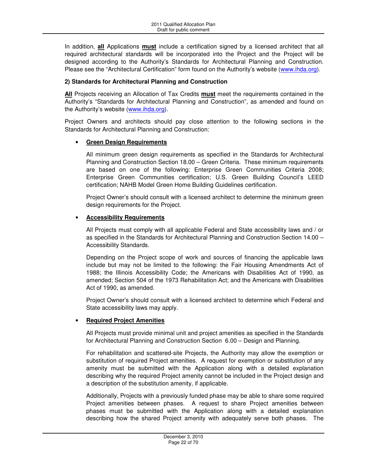In addition, **all** Applications **must** include a certification signed by a licensed architect that all required architectural standards will be incorporated into the Project and the Project will be designed according to the Authority's Standards for Architectural Planning and Construction. Please see the "Architectural Certification" form found on the Authority's website (www.ihda.org).

### **2) Standards for Architectural Planning and Construction**

**All** Projects receiving an Allocation of Tax Credits **must** meet the requirements contained in the Authority's "Standards for Architectural Planning and Construction", as amended and found on the Authority's website (www.ihda.org).

Project Owners and architects should pay close attention to the following sections in the Standards for Architectural Planning and Construction:

### • **Green Design Requirements**

All minimum green design requirements as specified in the Standards for Architectural Planning and Construction Section 18.00 – Green Criteria. These minimum requirements are based on one of the following: Enterprise Green Communities Criteria 2008; Enterprise Green Communities certification; U.S. Green Building Council's LEED certification; NAHB Model Green Home Building Guidelines certification.

Project Owner's should consult with a licensed architect to determine the minimum green design requirements for the Project.

### • **Accessibility Requirements**

All Projects must comply with all applicable Federal and State accessibility laws and / or as specified in the Standards for Architectural Planning and Construction Section 14.00 – Accessibility Standards.

Depending on the Project scope of work and sources of financing the applicable laws include but may not be limited to the following: the Fair Housing Amendments Act of 1988; the Illinois Accessibility Code; the Americans with Disabilities Act of 1990, as amended; Section 504 of the 1973 Rehabilitation Act; and the Americans with Disabilities Act of 1990, as amended.

Project Owner's should consult with a licensed architect to determine which Federal and State accessibility laws may apply.

### • **Required Project Amenities**

All Projects must provide minimal unit and project amenities as specified in the Standards for Architectural Planning and Construction Section 6.00 – Design and Planning.

For rehabilitation and scattered-site Projects, the Authority may allow the exemption or substitution of required Project amenities. A request for exemption or substitution of any amenity must be submitted with the Application along with a detailed explanation describing why the required Project amenity cannot be included in the Project design and a description of the substitution amenity, if applicable.

Additionally, Projects with a previously funded phase may be able to share some required Project amenities between phases. A request to share Project amenities between phases must be submitted with the Application along with a detailed explanation describing how the shared Project amenity with adequately serve both phases. The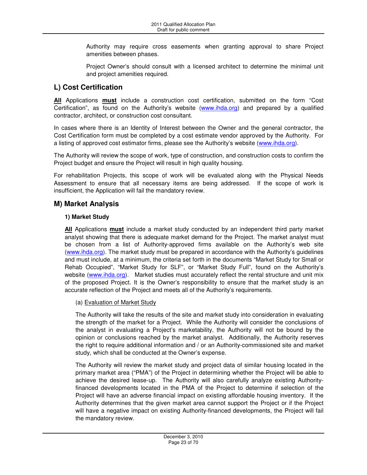Authority may require cross easements when granting approval to share Project amenities between phases.

Project Owner's should consult with a licensed architect to determine the minimal unit and project amenities required.

# **L) Cost Certification**

**All** Applications **must** include a construction cost certification, submitted on the form "Cost Certification", as found on the Authority's website (www.ihda.org) and prepared by a qualified contractor, architect, or construction cost consultant.

In cases where there is an Identity of Interest between the Owner and the general contractor, the Cost Certification form must be completed by a cost estimate vendor approved by the Authority. For a listing of approved cost estimator firms, please see the Authority's website (www.ihda.org).

The Authority will review the scope of work, type of construction, and construction costs to confirm the Project budget and ensure the Project will result in high quality housing.

For rehabilitation Projects, this scope of work will be evaluated along with the Physical Needs Assessment to ensure that all necessary items are being addressed. If the scope of work is insufficient, the Application will fail the mandatory review.

### **M) Market Analysis**

### **1) Market Study**

**All** Applications **must** include a market study conducted by an independent third party market analyst showing that there is adequate market demand for the Project. The market analyst must be chosen from a list of Authority-approved firms available on the Authority's web site (www.ihda.org). The market study must be prepared in accordance with the Authority's guidelines and must include, at a minimum, the criteria set forth in the documents "Market Study for Small or Rehab Occupied", "Market Study for SLF", or "Market Study Full", found on the Authority's website (www.ihda.org). Market studies must accurately reflect the rental structure and unit mix of the proposed Project. It is the Owner's responsibility to ensure that the market study is an accurate reflection of the Project and meets all of the Authority's requirements.

### (a) Evaluation of Market Study

The Authority will take the results of the site and market study into consideration in evaluating the strength of the market for a Project. While the Authority will consider the conclusions of the analyst in evaluating a Project's marketability, the Authority will not be bound by the opinion or conclusions reached by the market analyst. Additionally, the Authority reserves the right to require additional information and / or an Authority-commissioned site and market study, which shall be conducted at the Owner's expense.

The Authority will review the market study and project data of similar housing located in the primary market area ("PMA") of the Project in determining whether the Project will be able to achieve the desired lease-up. The Authority will also carefully analyze existing Authorityfinanced developments located in the PMA of the Project to determine if selection of the Project will have an adverse financial impact on existing affordable housing inventory. If the Authority determines that the given market area cannot support the Project or if the Project will have a negative impact on existing Authority-financed developments, the Project will fail the mandatory review.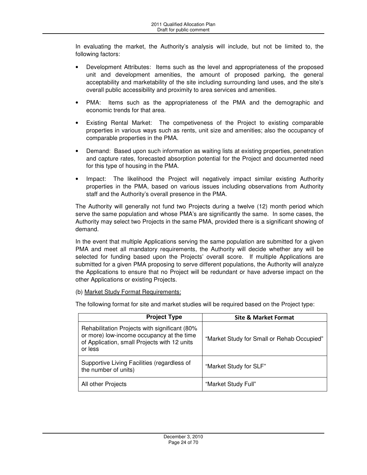In evaluating the market, the Authority's analysis will include, but not be limited to, the following factors:

- Development Attributes: Items such as the level and appropriateness of the proposed unit and development amenities, the amount of proposed parking, the general acceptability and marketability of the site including surrounding land uses, and the site's overall public accessibility and proximity to area services and amenities.
- PMA: Items such as the appropriateness of the PMA and the demographic and economic trends for that area.
- Existing Rental Market: The competiveness of the Project to existing comparable properties in various ways such as rents, unit size and amenities; also the occupancy of comparable properties in the PMA.
- Demand: Based upon such information as waiting lists at existing properties, penetration and capture rates, forecasted absorption potential for the Project and documented need for this type of housing in the PMA.
- Impact: The likelihood the Project will negatively impact similar existing Authority properties in the PMA, based on various issues including observations from Authority staff and the Authority's overall presence in the PMA.

The Authority will generally not fund two Projects during a twelve (12) month period which serve the same population and whose PMA's are significantly the same. In some cases, the Authority may select two Projects in the same PMA, provided there is a significant showing of demand.

In the event that multiple Applications serving the same population are submitted for a given PMA and meet all mandatory requirements, the Authority will decide whether any will be selected for funding based upon the Projects' overall score. If multiple Applications are submitted for a given PMA proposing to serve different populations, the Authority will analyze the Applications to ensure that no Project will be redundant or have adverse impact on the other Applications or existing Projects.

(b) Market Study Format Requirements:

The following format for site and market studies will be required based on the Project type:

| <b>Project Type</b>                                                                                                                                   | <b>Site &amp; Market Format</b>            |
|-------------------------------------------------------------------------------------------------------------------------------------------------------|--------------------------------------------|
| Rehabilitation Projects with significant (80%<br>or more) low-income occupancy at the time<br>of Application, small Projects with 12 units<br>or less | "Market Study for Small or Rehab Occupied" |
| Supportive Living Facilities (regardless of<br>the number of units)                                                                                   | "Market Study for SLF"                     |
| All other Projects                                                                                                                                    | "Market Study Full"                        |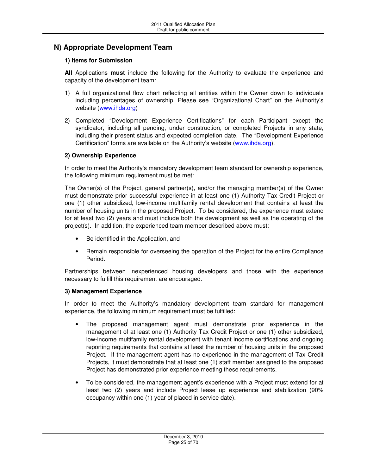# **N) Appropriate Development Team**

### **1) Items for Submission**

**All** Applications **must** include the following for the Authority to evaluate the experience and capacity of the development team:

- 1) A full organizational flow chart reflecting all entities within the Owner down to individuals including percentages of ownership. Please see "Organizational Chart" on the Authority's website (www.ihda.org)
- 2) Completed "Development Experience Certifications" for each Participant except the syndicator, including all pending, under construction, or completed Projects in any state, including their present status and expected completion date. The "Development Experience Certification" forms are available on the Authority's website (www.ihda.org).

### **2) Ownership Experience**

In order to meet the Authority's mandatory development team standard for ownership experience, the following minimum requirement must be met:

The Owner(s) of the Project, general partner(s), and/or the managing member(s) of the Owner must demonstrate prior successful experience in at least one (1) Authority Tax Credit Project or one (1) other subsidized, low-income multifamily rental development that contains at least the number of housing units in the proposed Project. To be considered, the experience must extend for at least two (2) years and must include both the development as well as the operating of the project(s). In addition, the experienced team member described above must:

- Be identified in the Application, and
- Remain responsible for overseeing the operation of the Project for the entire Compliance Period.

Partnerships between inexperienced housing developers and those with the experience necessary to fulfill this requirement are encouraged.

### **3) Management Experience**

In order to meet the Authority's mandatory development team standard for management experience, the following minimum requirement must be fulfilled:

- The proposed management agent must demonstrate prior experience in the management of at least one (1) Authority Tax Credit Project or one (1) other subsidized, low-income multifamily rental development with tenant income certifications and ongoing reporting requirements that contains at least the number of housing units in the proposed Project. If the management agent has no experience in the management of Tax Credit Projects, it must demonstrate that at least one (1) staff member assigned to the proposed Project has demonstrated prior experience meeting these requirements.
- To be considered, the management agent's experience with a Project must extend for at least two (2) years and include Project lease up experience and stabilization (90% occupancy within one (1) year of placed in service date).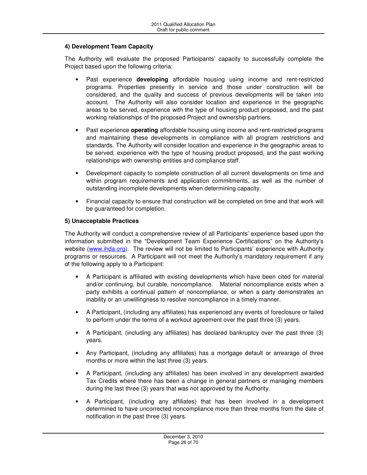### **4) Development Team Capacity**

The Authority will evaluate the proposed Participants' capacity to successfully complete the Project based upon the following criteria:

- Past experience **developing** affordable housing using income and rent-restricted programs. Properties presently in service and those under construction will be considered, and the quality and success of previous developments will be taken into account. The Authority will also consider location and experience in the geographic areas to be served, experience with the type of housing product proposed, and the past working relationships of the proposed Project and ownership partners.
- Past experience **operating** affordable housing using income and rent-restricted programs and maintaining these developments in compliance with all program restrictions and standards. The Authority will consider location and experience in the geographic areas to be served, experience with the type of housing product proposed, and the past working relationships with ownership entities and compliance staff.
- Development capacity to complete construction of all current developments on time and within program requirements and application commitments, as well as the number of outstanding incomplete developments when determining capacity.
- Financial capacity to ensure that construction will be completed on time and that work will be guaranteed for completion.

### **5) Unacceptable Practices**

The Authority will conduct a comprehensive review of all Participants' experience based upon the information submitted in the "Development Team Experience Certifications" on the Authority's website (www.ihda.org). The review will not be limited to Participants' experience with Authority programs or resources. A Participant will not meet the Authority's mandatory requirement if any of the following apply to a Participant:

- A Participant is affiliated with existing developments which have been cited for material and/or continuing, but curable, noncompliance. Material noncompliance exists when a party exhibits a continual pattern of noncompliance, or when a party demonstrates an inability or an unwillingness to resolve noncompliance in a timely manner.
- A Participant, (including any affiliates) has experienced any events of foreclosure or failed to perform under the terms of a workout agreement over the past three (3) years.
- A Participant, (including any affiliates) has declared bankruptcy over the past three (3) years.
- Any Participant, (including any affiliates) has a mortgage default or arrearage of three months or more within the last three (3) years.
- A Participant, (including any affiliates) has been involved in any development awarded Tax Credits where there has been a change in general partners or managing members during the last three (3) years that was not approved by the Authority.
- A Participant, (including any affiliates) that has been involved in a development determined to have uncorrected noncompliance more than three months from the date of notification in the past three (3) years.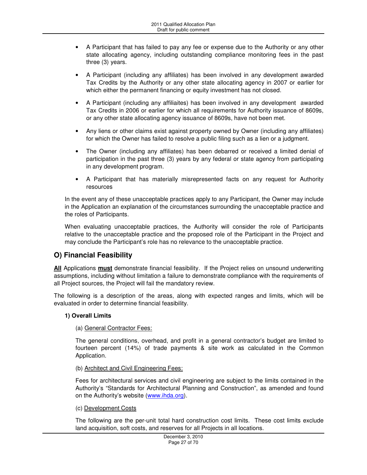- A Participant that has failed to pay any fee or expense due to the Authority or any other state allocating agency, including outstanding compliance monitoring fees in the past three (3) years.
- A Participant (including any affiliates) has been involved in any development awarded Tax Credits by the Authority or any other state allocating agency in 2007 or earlier for which either the permanent financing or equity investment has not closed.
- A Participant (including any affiliaites) has been involved in any development awarded Tax Credits in 2006 or earlier for which all requirements for Authority issuance of 8609s, or any other state allocating agency issuance of 8609s, have not been met.
- Any liens or other claims exist against property owned by Owner (including any affiliates) for which the Owner has failed to resolve a public filing such as a lien or a judgment.
- The Owner (including any affiliates) has been debarred or received a limited denial of participation in the past three (3) years by any federal or state agency from participating in any development program.
- A Participant that has materially misrepresented facts on any request for Authority resources

In the event any of these unacceptable practices apply to any Participant, the Owner may include in the Application an explanation of the circumstances surrounding the unacceptable practice and the roles of Participants.

When evaluating unacceptable practices, the Authority will consider the role of Participants relative to the unacceptable practice and the proposed role of the Participant in the Project and may conclude the Participant's role has no relevance to the unacceptable practice.

# **O) Financial Feasibility**

**All** Applications **must** demonstrate financial feasibility. If the Project relies on unsound underwriting assumptions, including without limitation a failure to demonstrate compliance with the requirements of all Project sources, the Project will fail the mandatory review.

The following is a description of the areas, along with expected ranges and limits, which will be evaluated in order to determine financial feasibility.

### **1) Overall Limits**

### (a) General Contractor Fees:

The general conditions, overhead, and profit in a general contractor's budget are limited to fourteen percent (14%) of trade payments & site work as calculated in the Common Application.

(b) Architect and Civil Engineering Fees:

Fees for architectural services and civil engineering are subject to the limits contained in the Authority's "Standards for Architectural Planning and Construction", as amended and found on the Authority's website (www.ihda.org).

### (c) Development Costs

The following are the per-unit total hard construction cost limits. These cost limits exclude land acquisition, soft costs, and reserves for all Projects in all locations.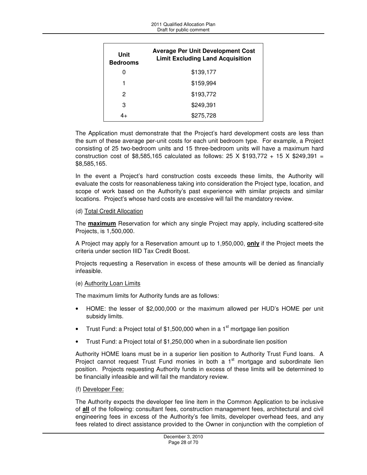| Unit<br><b>Bedrooms</b> | <b>Average Per Unit Development Cost</b><br><b>Limit Excluding Land Acquisition</b> |
|-------------------------|-------------------------------------------------------------------------------------|
| O                       | \$139,177                                                                           |
| 1                       | \$159,994                                                                           |
| 2                       | \$193,772                                                                           |
| 3                       | \$249,391                                                                           |
| 4+                      | \$275,728                                                                           |

The Application must demonstrate that the Project's hard development costs are less than the sum of these average per-unit costs for each unit bedroom type. For example, a Project consisting of 25 two-bedroom units and 15 three-bedroom units will have a maximum hard construction cost of \$8,585,165 calculated as follows: 25 X \$193,772 + 15 X \$249,391 = \$8,585,165.

In the event a Project's hard construction costs exceeds these limits, the Authority will evaluate the costs for reasonableness taking into consideration the Project type, location, and scope of work based on the Authority's past experience with similar projects and similar locations. Project's whose hard costs are excessive will fail the mandatory review.

### (d) Total Credit Allocation

The **maximum** Reservation for which any single Project may apply, including scattered-site Projects, is 1,500,000.

A Project may apply for a Reservation amount up to 1,950,000, **only** if the Project meets the criteria under section IIID Tax Credit Boost.

Projects requesting a Reservation in excess of these amounts will be denied as financially infeasible.

### (e) Authority Loan Limits

The maximum limits for Authority funds are as follows:

- HOME: the lesser of \$2,000,000 or the maximum allowed per HUD's HOME per unit subsidy limits.
- Trust Fund: a Project total of \$1,500,000 when in a 1 $^{\rm st}$  mortgage lien position
- Trust Fund: a Project total of \$1,250,000 when in a subordinate lien position

Authority HOME loans must be in a superior lien position to Authority Trust Fund loans. A Project cannot request Trust Fund monies in both a  $1<sup>st</sup>$  mortgage and subordinate lien position. Projects requesting Authority funds in excess of these limits will be determined to be financially infeasible and will fail the mandatory review.

### (f) Developer Fee:

The Authority expects the developer fee line item in the Common Application to be inclusive of **all** of the following: consultant fees, construction management fees, architectural and civil engineering fees in excess of the Authority's fee limits, developer overhead fees, and any fees related to direct assistance provided to the Owner in conjunction with the completion of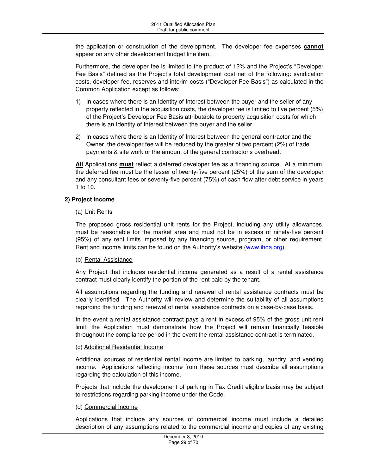the application or construction of the development. The developer fee expenses **cannot** appear on any other development budget line item.

Furthermore, the developer fee is limited to the product of 12% and the Project's "Developer Fee Basis" defined as the Project's total development cost net of the following: syndication costs, developer fee, reserves and interim costs ("Developer Fee Basis") as calculated in the Common Application except as follows:

- 1) In cases where there is an Identity of Interest between the buyer and the seller of any property reflected in the acquisition costs, the developer fee is limited to five percent (5%) of the Project's Developer Fee Basis attributable to property acquisition costs for which there is an Identity of Interest between the buyer and the seller.
- 2) In cases where there is an Identity of Interest between the general contractor and the Owner, the developer fee will be reduced by the greater of two percent (2%) of trade payments & site work or the amount of the general contractor's overhead.

**All** Applications **must** reflect a deferred developer fee as a financing source. At a minimum, the deferred fee must be the lesser of twenty-five percent (25%) of the sum of the developer and any consultant fees or seventy-five percent (75%) of cash flow after debt service in years 1 to 10.

### **2) Project Income**

### (a) Unit Rents

The proposed gross residential unit rents for the Project, including any utility allowances, must be reasonable for the market area and must not be in excess of ninety-five percent (95%) of any rent limits imposed by any financing source, program, or other requirement. Rent and income limits can be found on the Authority's website (www.ihda.org).

### (b) Rental Assistance

Any Project that includes residential income generated as a result of a rental assistance contract must clearly identify the portion of the rent paid by the tenant.

All assumptions regarding the funding and renewal of rental assistance contracts must be clearly identified. The Authority will review and determine the suitability of all assumptions regarding the funding and renewal of rental assistance contracts on a case-by-case basis.

In the event a rental assistance contract pays a rent in excess of 95% of the gross unit rent limit, the Application must demonstrate how the Project will remain financially feasible throughout the compliance period in the event the rental assistance contract is terminated.

### (c) Additional Residential Income

Additional sources of residential rental income are limited to parking, laundry, and vending income. Applications reflecting income from these sources must describe all assumptions regarding the calculation of this income.

Projects that include the development of parking in Tax Credit eligible basis may be subject to restrictions regarding parking income under the Code.

### (d) Commercial Income

Applications that include any sources of commercial income must include a detailed description of any assumptions related to the commercial income and copies of any existing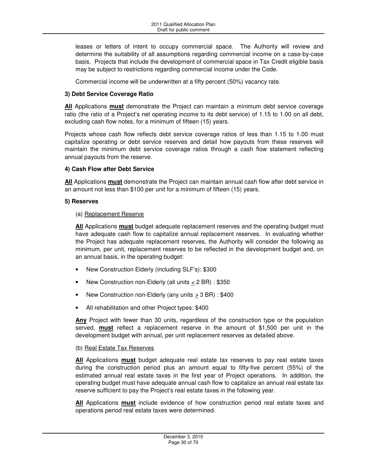leases or letters of intent to occupy commercial space. The Authority will review and determine the suitability of all assumptions regarding commercial income on a case-by-case basis. Projects that include the development of commercial space in Tax Credit eligible basis may be subject to restrictions regarding commercial income under the Code.

Commercial income will be underwritten at a fifty percent (50%) vacancy rate.

### **3) Debt Service Coverage Ratio**

**All** Applications **must** demonstrate the Project can maintain a minimum debt service coverage ratio (the ratio of a Project's net operating income to its debt service) of 1.15 to 1.00 on all debt, excluding cash flow notes, for a minimum of fifteen (15) years.

Projects whose cash flow reflects debt service coverage ratios of less than 1.15 to 1.00 must capitalize operating or debt service reserves and detail how payouts from these reserves will maintain the minimum debt service coverage ratios through a cash flow statement reflecting annual payouts from the reserve.

### **4) Cash Flow after Debt Service**

**All** Applications **must** demonstrate the Project can maintain annual cash flow after debt service in an amount not less than \$100 per unit for a minimum of fifteen (15) years.

### **5) Reserves**

### (a) Replacement Reserve

**All** Applications **must** budget adequate replacement reserves and the operating budget must have adequate cash flow to capitalize annual replacement reserves. In evaluating whether the Project has adequate replacement reserves, the Authority will consider the following as minimum, per unit, replacement reserves to be reflected in the development budget and, on an annual basis, in the operating budget:

- New Construction Elderly (including SLF's): \$300
- New Construction non-Elderly (all units  $\leq$  2 BR) : \$350
- New Construction non-Elderly (any units > 3 BR) : \$400
- All rehabilitation and other Project types: \$400

**Any** Project with fewer than 30 units, regardless of the construction type or the population served, **must** reflect a replacement reserve in the amount of \$1,500 per unit in the development budget with annual, per unit replacement reserves as detailed above.

### (b) Real Estate Tax Reserves

**All** Applications **must** budget adequate real estate tax reserves to pay real estate taxes during the construction period plus an amount equal to fifty-five percent (55%) of the estimated annual real estate taxes in the first year of Project operations. In addition, the operating budget must have adequate annual cash flow to capitalize an annual real estate tax reserve sufficient to pay the Project's real estate taxes in the following year.

**All** Applications **must** include evidence of how construction period real estate taxes and operations period real estate taxes were determined.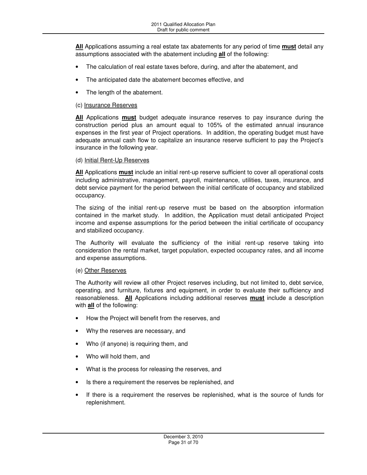**All** Applications assuming a real estate tax abatements for any period of time **must** detail any assumptions associated with the abatement including **all** of the following:

- The calculation of real estate taxes before, during, and after the abatement, and
- The anticipated date the abatement becomes effective, and
- The length of the abatement.

### (c) Insurance Reserves

**All** Applications **must** budget adequate insurance reserves to pay insurance during the construction period plus an amount equal to 105% of the estimated annual insurance expenses in the first year of Project operations. In addition, the operating budget must have adequate annual cash flow to capitalize an insurance reserve sufficient to pay the Project's insurance in the following year.

### (d) Initial Rent-Up Reserves

**All** Applications **must** include an initial rent-up reserve sufficient to cover all operational costs including administrative, management, payroll, maintenance, utilities, taxes, insurance, and debt service payment for the period between the initial certificate of occupancy and stabilized occupancy.

The sizing of the initial rent-up reserve must be based on the absorption information contained in the market study. In addition, the Application must detail anticipated Project income and expense assumptions for the period between the initial certificate of occupancy and stabilized occupancy.

The Authority will evaluate the sufficiency of the initial rent-up reserve taking into consideration the rental market, target population, expected occupancy rates, and all income and expense assumptions.

### (e) Other Reserves

The Authority will review all other Project reserves including, but not limited to, debt service, operating, and furniture, fixtures and equipment, in order to evaluate their sufficiency and reasonableness. **All** Applications including additional reserves **must** include a description with **all** of the following:

- How the Project will benefit from the reserves, and
- Why the reserves are necessary, and
- Who (if anyone) is requiring them, and
- Who will hold them, and
- What is the process for releasing the reserves, and
- Is there a requirement the reserves be replenished, and
- If there is a requirement the reserves be replenished, what is the source of funds for replenishment.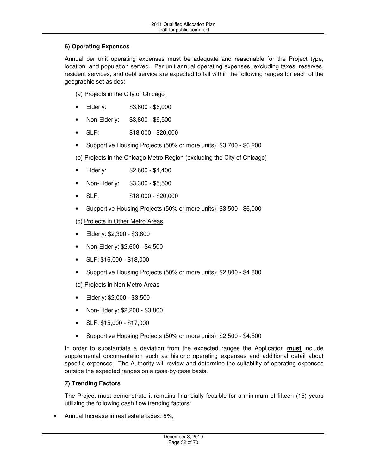### **6) Operating Expenses**

Annual per unit operating expenses must be adequate and reasonable for the Project type, location, and population served. Per unit annual operating expenses, excluding taxes, reserves, resident services, and debt service are expected to fall within the following ranges for each of the geographic set-asides:

(a) Projects in the City of Chicago

- Elderly: \$3,600 \$6,000
- Non-Elderly: \$3,800 \$6,500
- SLF: \$18,000 \$20,000
- Supportive Housing Projects (50% or more units): \$3,700 \$6,200

(b) Projects in the Chicago Metro Region (excluding the City of Chicago)

- Elderly: \$2,600 \$4,400
- Non-Elderly: \$3,300 \$5,500
- SLF: \$18,000 \$20,000
- Supportive Housing Projects (50% or more units): \$3,500 \$6,000

(c) Projects in Other Metro Areas

- Elderly: \$2,300 \$3,800
- Non-Elderly: \$2,600 \$4,500
- SLF: \$16,000 \$18,000
- Supportive Housing Projects (50% or more units): \$2,800 \$4,800

(d) Projects in Non Metro Areas

- Elderly: \$2,000 \$3,500
- Non-Elderly: \$2,200 \$3,800
- SLF: \$15,000 \$17,000
- Supportive Housing Projects (50% or more units): \$2,500 \$4,500

In order to substantiate a deviation from the expected ranges the Application **must** include supplemental documentation such as historic operating expenses and additional detail about specific expenses. The Authority will review and determine the suitability of operating expenses outside the expected ranges on a case-by-case basis.

### **7) Trending Factors**

The Project must demonstrate it remains financially feasible for a minimum of fifteen (15) years utilizing the following cash flow trending factors:

• Annual Increase in real estate taxes: 5%,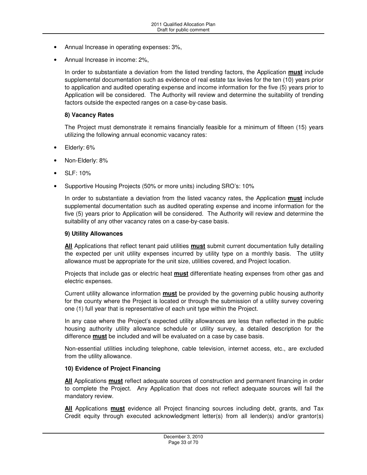- Annual Increase in operating expenses: 3%,
- Annual Increase in income: 2%,

In order to substantiate a deviation from the listed trending factors, the Application **must** include supplemental documentation such as evidence of real estate tax levies for the ten (10) years prior to application and audited operating expense and income information for the five (5) years prior to Application will be considered. The Authority will review and determine the suitability of trending factors outside the expected ranges on a case-by-case basis.

#### **8) Vacancy Rates**

The Project must demonstrate it remains financially feasible for a minimum of fifteen (15) years utilizing the following annual economic vacancy rates:

- Elderly: 6%
- Non-Elderly: 8%
- SLF: 10%
- Supportive Housing Projects (50% or more units) including SRO's: 10%

In order to substantiate a deviation from the listed vacancy rates, the Application **must** include supplemental documentation such as audited operating expense and income information for the five (5) years prior to Application will be considered. The Authority will review and determine the suitability of any other vacancy rates on a case-by-case basis.

#### **9) Utility Allowances**

**All** Applications that reflect tenant paid utilities **must** submit current documentation fully detailing the expected per unit utility expenses incurred by utility type on a monthly basis. The utility allowance must be appropriate for the unit size, utilities covered, and Project location.

Projects that include gas or electric heat **must** differentiate heating expenses from other gas and electric expenses.

Current utility allowance information **must** be provided by the governing public housing authority for the county where the Project is located or through the submission of a utility survey covering one (1) full year that is representative of each unit type within the Project.

In any case where the Project's expected utility allowances are less than reflected in the public housing authority utility allowance schedule or utility survey, a detailed description for the difference **must** be included and will be evaluated on a case by case basis.

Non-essential utilities including telephone, cable television, internet access, etc., are excluded from the utility allowance.

### **10) Evidence of Project Financing**

**All** Applications **must** reflect adequate sources of construction and permanent financing in order to complete the Project. Any Application that does not reflect adequate sources will fail the mandatory review.

**All** Applications **must** evidence all Project financing sources including debt, grants, and Tax Credit equity through executed acknowledgment letter(s) from all lender(s) and/or grantor(s)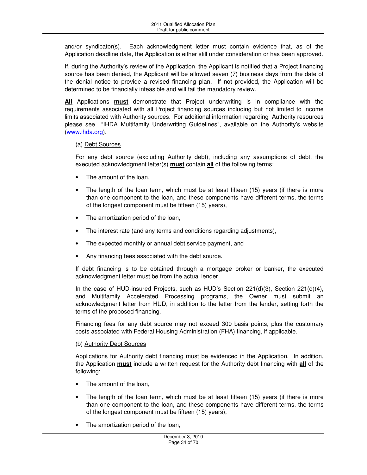and/or syndicator(s). Each acknowledgment letter must contain evidence that, as of the Application deadline date, the Application is either still under consideration or has been approved.

If, during the Authority's review of the Application, the Applicant is notified that a Project financing source has been denied, the Applicant will be allowed seven (7) business days from the date of the denial notice to provide a revised financing plan. If not provided, the Application will be determined to be financially infeasible and will fail the mandatory review.

**All** Applications **must** demonstrate that Project underwriting is in compliance with the requirements associated with all Project financing sources including but not limited to income limits associated with Authority sources. For additional information regarding Authority resources please see "IHDA Multifamily Underwriting Guidelines", available on the Authority's website (www.ihda.org).

### (a) Debt Sources

For any debt source (excluding Authority debt), including any assumptions of debt, the executed acknowledgment letter(s) **must** contain **all** of the following terms:

- The amount of the loan,
- The length of the loan term, which must be at least fifteen (15) years (if there is more than one component to the loan, and these components have different terms, the terms of the longest component must be fifteen (15) years),
- The amortization period of the loan,
- The interest rate (and any terms and conditions regarding adjustments),
- The expected monthly or annual debt service payment, and
- Any financing fees associated with the debt source.

If debt financing is to be obtained through a mortgage broker or banker, the executed acknowledgment letter must be from the actual lender.

In the case of HUD-insured Projects, such as HUD's Section 221(d)(3), Section 221(d)(4), and Multifamily Accelerated Processing programs, the Owner must submit an acknowledgment letter from HUD, in addition to the letter from the lender, setting forth the terms of the proposed financing.

Financing fees for any debt source may not exceed 300 basis points, plus the customary costs associated with Federal Housing Administration (FHA) financing, if applicable.

### (b) Authority Debt Sources

Applications for Authority debt financing must be evidenced in the Application. In addition, the Application **must** include a written request for the Authority debt financing with **all** of the following:

- The amount of the loan,
- The length of the loan term, which must be at least fifteen (15) years (if there is more than one component to the loan, and these components have different terms, the terms of the longest component must be fifteen (15) years),
- The amortization period of the loan,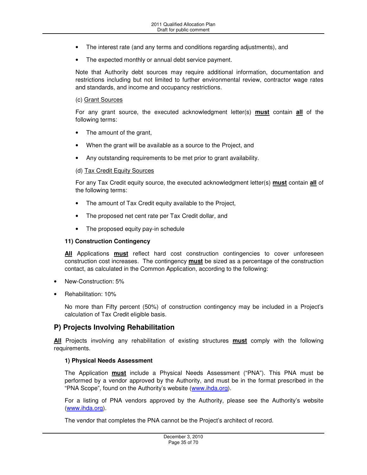- The interest rate (and any terms and conditions regarding adjustments), and
- The expected monthly or annual debt service payment.

Note that Authority debt sources may require additional information, documentation and restrictions including but not limited to further environmental review, contractor wage rates and standards, and income and occupancy restrictions.

#### (c) Grant Sources

For any grant source, the executed acknowledgment letter(s) **must** contain **all** of the following terms:

- The amount of the grant,
- When the grant will be available as a source to the Project, and
- Any outstanding requirements to be met prior to grant availability.

#### (d) Tax Credit Equity Sources

For any Tax Credit equity source, the executed acknowledgment letter(s) **must** contain **all** of the following terms:

- The amount of Tax Credit equity available to the Project,
- The proposed net cent rate per Tax Credit dollar, and
- The proposed equity pay-in schedule

### **11) Construction Contingency**

**All** Applications **must** reflect hard cost construction contingencies to cover unforeseen construction cost increases. The contingency **must** be sized as a percentage of the construction contact, as calculated in the Common Application, according to the following:

- New-Construction: 5%
- Rehabilitation: 10%

No more than Fifty percent (50%) of construction contingency may be included in a Project's calculation of Tax Credit eligible basis.

### **P) Projects Involving Rehabilitation**

**All** Projects involving any rehabilitation of existing structures **must** comply with the following requirements.

### **1) Physical Needs Assessment**

The Application **must** include a Physical Needs Assessment ("PNA"). This PNA must be performed by a vendor approved by the Authority, and must be in the format prescribed in the "PNA Scope", found on the Authority's website (www.ihda.org).

For a listing of PNA vendors approved by the Authority, please see the Authority's website (www.ihda.org).

The vendor that completes the PNA cannot be the Project's architect of record.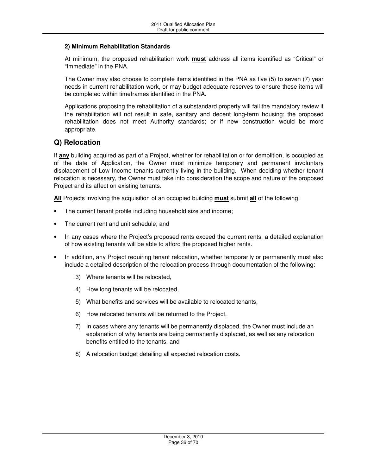### **2) Minimum Rehabilitation Standards**

At minimum, the proposed rehabilitation work **must** address all items identified as "Critical" or "Immediate" in the PNA.

The Owner may also choose to complete items identified in the PNA as five (5) to seven (7) year needs in current rehabilitation work, or may budget adequate reserves to ensure these items will be completed within timeframes identified in the PNA.

Applications proposing the rehabilitation of a substandard property will fail the mandatory review if the rehabilitation will not result in safe, sanitary and decent long-term housing; the proposed rehabilitation does not meet Authority standards; or if new construction would be more appropriate.

## **Q) Relocation**

If **any** building acquired as part of a Project, whether for rehabilitation or for demolition, is occupied as of the date of Application, the Owner must minimize temporary and permanent involuntary displacement of Low Income tenants currently living in the building. When deciding whether tenant relocation is necessary, the Owner must take into consideration the scope and nature of the proposed Project and its affect on existing tenants.

**All** Projects involving the acquisition of an occupied building **must** submit **all** of the following:

- The current tenant profile including household size and income;
- The current rent and unit schedule; and
- In any cases where the Project's proposed rents exceed the current rents, a detailed explanation of how existing tenants will be able to afford the proposed higher rents.
- In addition, any Project requiring tenant relocation, whether temporarily or permanently must also include a detailed description of the relocation process through documentation of the following:
	- 3) Where tenants will be relocated,
	- 4) How long tenants will be relocated,
	- 5) What benefits and services will be available to relocated tenants,
	- 6) How relocated tenants will be returned to the Project,
	- 7) In cases where any tenants will be permanently displaced, the Owner must include an explanation of why tenants are being permanently displaced, as well as any relocation benefits entitled to the tenants, and
	- 8) A relocation budget detailing all expected relocation costs.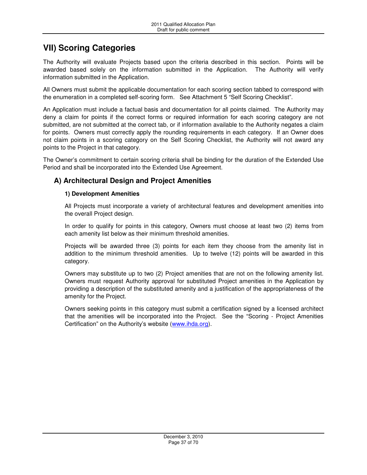# **VII) Scoring Categories**

The Authority will evaluate Projects based upon the criteria described in this section. Points will be awarded based solely on the information submitted in the Application. The Authority will verify information submitted in the Application.

All Owners must submit the applicable documentation for each scoring section tabbed to correspond with the enumeration in a completed self-scoring form. See Attachment 5 "Self Scoring Checklist".

An Application must include a factual basis and documentation for all points claimed. The Authority may deny a claim for points if the correct forms or required information for each scoring category are not submitted, are not submitted at the correct tab, or if information available to the Authority negates a claim for points. Owners must correctly apply the rounding requirements in each category. If an Owner does not claim points in a scoring category on the Self Scoring Checklist, the Authority will not award any points to the Project in that category.

The Owner's commitment to certain scoring criteria shall be binding for the duration of the Extended Use Period and shall be incorporated into the Extended Use Agreement.

# **A) Architectural Design and Project Amenities**

### **1) Development Amenities**

All Projects must incorporate a variety of architectural features and development amenities into the overall Project design.

In order to qualify for points in this category, Owners must choose at least two (2) items from each amenity list below as their minimum threshold amenities.

Projects will be awarded three (3) points for each item they choose from the amenity list in addition to the minimum threshold amenities. Up to twelve (12) points will be awarded in this category.

Owners may substitute up to two (2) Project amenities that are not on the following amenity list. Owners must request Authority approval for substituted Project amenities in the Application by providing a description of the substituted amenity and a justification of the appropriateness of the amenity for the Project.

Owners seeking points in this category must submit a certification signed by a licensed architect that the amenities will be incorporated into the Project. See the "Scoring - Project Amenities Certification" on the Authority's website (www.ihda.org).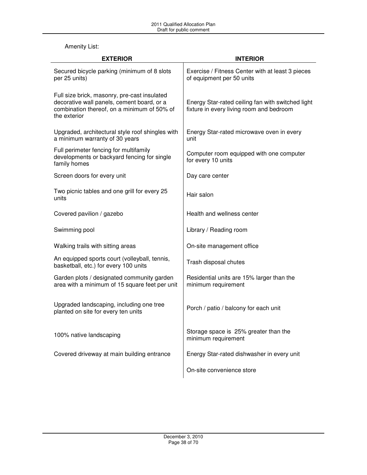## Amenity List:

| <b>EXTERIOR</b>                                                                                                                                           | <b>INTERIOR</b>                                                                               |
|-----------------------------------------------------------------------------------------------------------------------------------------------------------|-----------------------------------------------------------------------------------------------|
| Secured bicycle parking (minimum of 8 slots<br>per 25 units)                                                                                              | Exercise / Fitness Center with at least 3 pieces<br>of equipment per 50 units                 |
| Full size brick, masonry, pre-cast insulated<br>decorative wall panels, cement board, or a<br>combination thereof, on a minimum of 50% of<br>the exterior | Energy Star-rated ceiling fan with switched light<br>fixture in every living room and bedroom |
| Upgraded, architectural style roof shingles with<br>a minimum warranty of 30 years                                                                        | Energy Star-rated microwave oven in every<br>unit                                             |
| Full perimeter fencing for multifamily<br>developments or backyard fencing for single<br>family homes                                                     | Computer room equipped with one computer<br>for every 10 units                                |
| Screen doors for every unit                                                                                                                               | Day care center                                                                               |
| Two picnic tables and one grill for every 25<br>units                                                                                                     | Hair salon                                                                                    |
| Covered pavilion / gazebo                                                                                                                                 | Health and wellness center                                                                    |
| Swimming pool                                                                                                                                             | Library / Reading room                                                                        |
| Walking trails with sitting areas                                                                                                                         | On-site management office                                                                     |
| An equipped sports court (volleyball, tennis,<br>basketball, etc.) for every 100 units                                                                    | Trash disposal chutes                                                                         |
| Garden plots / designated community garden<br>area with a minimum of 15 square feet per unit                                                              | Residential units are 15% larger than the<br>minimum requirement                              |
| Upgraded landscaping, including one tree<br>planted on site for every ten units                                                                           | Porch / patio / balcony for each unit                                                         |
| 100% native landscaping                                                                                                                                   | Storage space is 25% greater than the<br>minimum requirement                                  |
| Covered driveway at main building entrance                                                                                                                | Energy Star-rated dishwasher in every unit                                                    |
|                                                                                                                                                           | On-site convenience store                                                                     |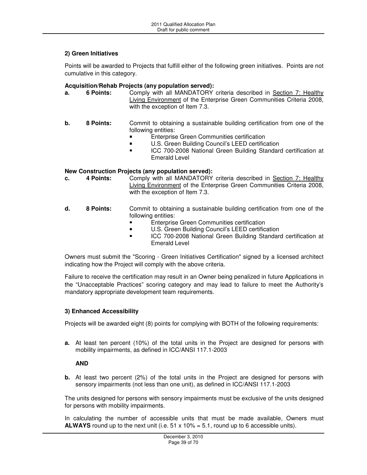### **2) Green Initiatives**

Points will be awarded to Projects that fulfill either of the following green initiatives. Points are not cumulative in this category.

# **Acquisition/Rehab Projects (any population served):**

- **a. 6 Points:** Comply with all MANDATORY criteria described in Section 7: Healthy Living Environment of the Enterprise Green Communities Criteria 2008, with the exception of Item 7.3.
- **b.** 8 Points: Commit to obtaining a sustainable building certification from one of the following entities:
	- **Enterprise Green Communities certification**
	- U.S. Green Building Council's LEED certification
	- **ICC 700-2008 National Green Building Standard certification at** Emerald Level

# **New Construction Projects (any population served):**

- **c.** 4 Points: Comply with all MANDATORY criteria described in Section 7: Healthy Living Environment of the Enterprise Green Communities Criteria 2008, with the exception of Item 7.3.
- **d. 8 Points:** Commit to obtaining a sustainable building certification from one of the following entities:
	- Enterprise Green Communities certification
	- U.S. Green Building Council's LEED certification
	- ICC 700-2008 National Green Building Standard certification at Emerald Level

Owners must submit the "Scoring - Green Initiatives Certification" signed by a licensed architect indicating how the Project will comply with the above criteria.

Failure to receive the certification may result in an Owner being penalized in future Applications in the "Unacceptable Practices" scoring category and may lead to failure to meet the Authority's mandatory appropriate development team requirements.

### **3) Enhanced Accessibility**

Projects will be awarded eight (8) points for complying with BOTH of the following requirements:

**a.** At least ten percent (10%) of the total units in the Project are designed for persons with mobility impairments, as defined in ICC/ANSI 117.1-2003

### **AND**

**b.** At least two percent (2%) of the total units in the Project are designed for persons with sensory impairments (not less than one unit), as defined in ICC/ANSI 117.1-2003

The units designed for persons with sensory impairments must be exclusive of the units designed for persons with mobility impairments.

In calculating the number of accessible units that must be made available, Owners must **ALWAYS** round up to the next unit (i.e.  $51 \times 10\% = 5.1$ , round up to 6 accessible units).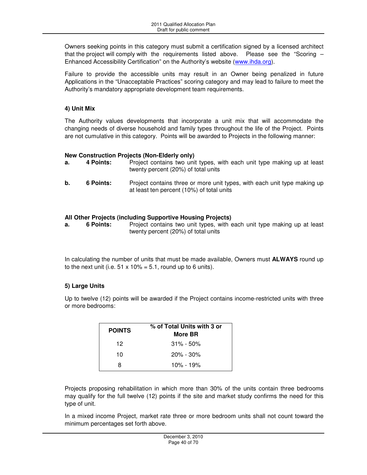Owners seeking points in this category must submit a certification signed by a licensed architect that the project will comply with the requirements listed above. Please see the "Scoring  $-$ Enhanced Accessibility Certification" on the Authority's website (www.ihda.org).

Failure to provide the accessible units may result in an Owner being penalized in future Applications in the "Unacceptable Practices" scoring category and may lead to failure to meet the Authority's mandatory appropriate development team requirements.

### **4) Unit Mix**

The Authority values developments that incorporate a unit mix that will accommodate the changing needs of diverse household and family types throughout the life of the Project. Points are not cumulative in this category. Points will be awarded to Projects in the following manner:

# **New Construction Projects (Non-Elderly only)**

- **a.** 4 Points: Project contains two unit types, with each unit type making up at least twenty percent (20%) of total units
- **b.** 6 Points: Project contains three or more unit types, with each unit type making up at least ten percent (10%) of total units

### **All Other Projects (including Supportive Housing Projects)**

**a.** 6 Points: Project contains two unit types, with each unit type making up at least twenty percent (20%) of total units

In calculating the number of units that must be made available, Owners must **ALWAYS** round up to the next unit (i.e.  $51 \times 10\% = 5.1$ , round up to 6 units).

### **5) Large Units**

Up to twelve (12) points will be awarded if the Project contains income-restricted units with three or more bedrooms:

| <b>POINTS</b> | % of Total Units with 3 or<br>More BR |
|---------------|---------------------------------------|
| 12            | $31\% - 50\%$                         |
| 10            | $20\% - 30\%$                         |
| я             | 10% - 19%                             |

Projects proposing rehabilitation in which more than 30% of the units contain three bedrooms may qualify for the full twelve (12) points if the site and market study confirms the need for this type of unit.

In a mixed income Project, market rate three or more bedroom units shall not count toward the minimum percentages set forth above.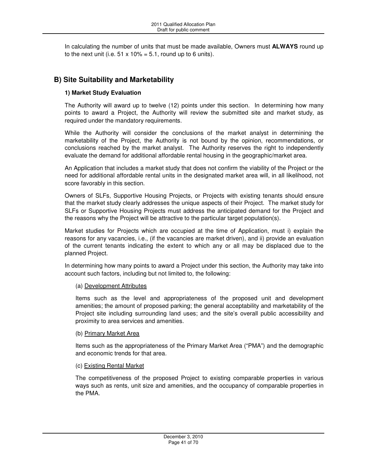In calculating the number of units that must be made available, Owners must **ALWAYS** round up to the next unit (i.e.  $51 \times 10\% = 5.1$ , round up to 6 units).

# **B) Site Suitability and Marketability**

### **1) Market Study Evaluation**

The Authority will award up to twelve (12) points under this section. In determining how many points to award a Project, the Authority will review the submitted site and market study, as required under the mandatory requirements.

While the Authority will consider the conclusions of the market analyst in determining the marketability of the Project, the Authority is not bound by the opinion, recommendations, or conclusions reached by the market analyst. The Authority reserves the right to independently evaluate the demand for additional affordable rental housing in the geographic/market area.

An Application that includes a market study that does not confirm the viability of the Project or the need for additional affordable rental units in the designated market area will, in all likelihood, not score favorably in this section.

Owners of SLFs, Supportive Housing Projects, or Projects with existing tenants should ensure that the market study clearly addresses the unique aspects of their Project. The market study for SLFs or Supportive Housing Projects must address the anticipated demand for the Project and the reasons why the Project will be attractive to the particular target population(s).

Market studies for Projects which are occupied at the time of Application, must i) explain the reasons for any vacancies, i.e., (if the vacancies are market driven), and ii) provide an evaluation of the current tenants indicating the extent to which any or all may be displaced due to the planned Project.

In determining how many points to award a Project under this section, the Authority may take into account such factors, including but not limited to, the following:

### (a) Development Attributes

Items such as the level and appropriateness of the proposed unit and development amenities; the amount of proposed parking; the general acceptability and marketability of the Project site including surrounding land uses; and the site's overall public accessibility and proximity to area services and amenities.

### (b) Primary Market Area

Items such as the appropriateness of the Primary Market Area ("PMA") and the demographic and economic trends for that area.

### (c) Existing Rental Market

The competitiveness of the proposed Project to existing comparable properties in various ways such as rents, unit size and amenities, and the occupancy of comparable properties in the PMA.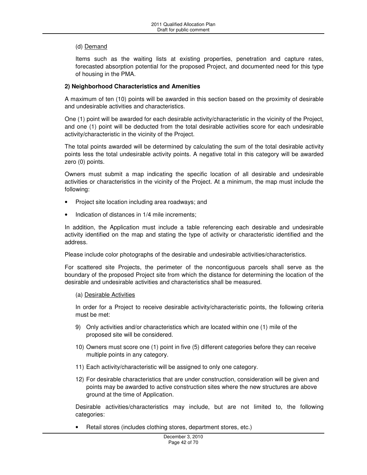### (d) Demand

Items such as the waiting lists at existing properties, penetration and capture rates, forecasted absorption potential for the proposed Project, and documented need for this type of housing in the PMA.

### **2) Neighborhood Characteristics and Amenities**

A maximum of ten (10) points will be awarded in this section based on the proximity of desirable and undesirable activities and characteristics.

One (1) point will be awarded for each desirable activity/characteristic in the vicinity of the Project, and one (1) point will be deducted from the total desirable activities score for each undesirable activity/characteristic in the vicinity of the Project.

The total points awarded will be determined by calculating the sum of the total desirable activity points less the total undesirable activity points. A negative total in this category will be awarded zero (0) points.

Owners must submit a map indicating the specific location of all desirable and undesirable activities or characteristics in the vicinity of the Project. At a minimum, the map must include the following:

- Project site location including area roadways; and
- Indication of distances in 1/4 mile increments;

In addition, the Application must include a table referencing each desirable and undesirable activity identified on the map and stating the type of activity or characteristic identified and the address.

Please include color photographs of the desirable and undesirable activities/characteristics.

For scattered site Projects, the perimeter of the noncontiguous parcels shall serve as the boundary of the proposed Project site from which the distance for determining the location of the desirable and undesirable activities and characteristics shall be measured.

### (a) Desirable Activities

In order for a Project to receive desirable activity/characteristic points, the following criteria must be met:

- 9) Only activities and/or characteristics which are located within one (1) mile of the proposed site will be considered.
- 10) Owners must score one (1) point in five (5) different categories before they can receive multiple points in any category.
- 11) Each activity/characteristic will be assigned to only one category.
- 12) For desirable characteristics that are under construction, consideration will be given and points may be awarded to active construction sites where the new structures are above ground at the time of Application.

Desirable activities/characteristics may include, but are not limited to, the following categories:

• Retail stores (includes clothing stores, department stores, etc.)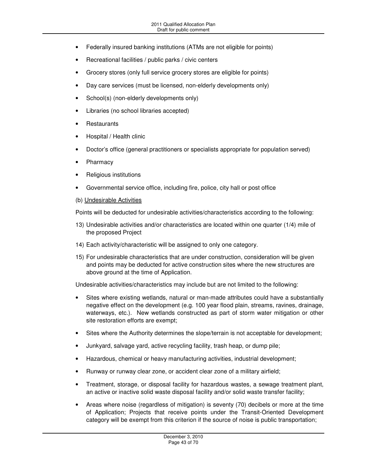- Federally insured banking institutions (ATMs are not eligible for points)
- Recreational facilities / public parks / civic centers
- Grocery stores (only full service grocery stores are eligible for points)
- Day care services (must be licensed, non-elderly developments only)
- School(s) (non-elderly developments only)
- Libraries (no school libraries accepted)
- Restaurants
- Hospital / Health clinic
- Doctor's office (general practitioners or specialists appropriate for population served)
- Pharmacy
- Religious institutions
- Governmental service office, including fire, police, city hall or post office
- (b) Undesirable Activities

Points will be deducted for undesirable activities/characteristics according to the following:

- 13) Undesirable activities and/or characteristics are located within one quarter (1/4) mile of the proposed Project
- 14) Each activity/characteristic will be assigned to only one category.
- 15) For undesirable characteristics that are under construction, consideration will be given and points may be deducted for active construction sites where the new structures are above ground at the time of Application.

Undesirable activities/characteristics may include but are not limited to the following:

- Sites where existing wetlands, natural or man-made attributes could have a substantially negative effect on the development (e.g. 100 year flood plain, streams, ravines, drainage, waterways, etc.). New wetlands constructed as part of storm water mitigation or other site restoration efforts are exempt;
- Sites where the Authority determines the slope/terrain is not acceptable for development;
- Junkyard, salvage yard, active recycling facility, trash heap, or dump pile;
- Hazardous, chemical or heavy manufacturing activities, industrial development;
- Runway or runway clear zone, or accident clear zone of a military airfield;
- Treatment, storage, or disposal facility for hazardous wastes, a sewage treatment plant, an active or inactive solid waste disposal facility and/or solid waste transfer facility;
- Areas where noise (regardless of mitigation) is seventy (70) decibels or more at the time of Application; Projects that receive points under the Transit-Oriented Development category will be exempt from this criterion if the source of noise is public transportation;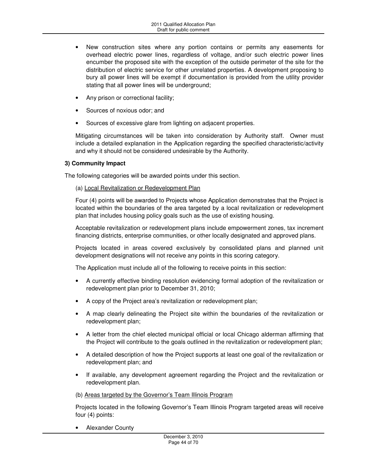- New construction sites where any portion contains or permits any easements for overhead electric power lines, regardless of voltage, and/or such electric power lines encumber the proposed site with the exception of the outside perimeter of the site for the distribution of electric service for other unrelated properties. A development proposing to bury all power lines will be exempt if documentation is provided from the utility provider stating that all power lines will be underground;
- Any prison or correctional facility;
- Sources of noxious odor; and
- Sources of excessive glare from lighting on adjacent properties.

Mitigating circumstances will be taken into consideration by Authority staff. Owner must include a detailed explanation in the Application regarding the specified characteristic/activity and why it should not be considered undesirable by the Authority.

### **3) Community Impact**

The following categories will be awarded points under this section.

### (a) Local Revitalization or Redevelopment Plan

Four (4) points will be awarded to Projects whose Application demonstrates that the Project is located within the boundaries of the area targeted by a local revitalization or redevelopment plan that includes housing policy goals such as the use of existing housing.

Acceptable revitalization or redevelopment plans include empowerment zones, tax increment financing districts, enterprise communities, or other locally designated and approved plans.

Projects located in areas covered exclusively by consolidated plans and planned unit development designations will not receive any points in this scoring category.

The Application must include all of the following to receive points in this section:

- A currently effective binding resolution evidencing formal adoption of the revitalization or redevelopment plan prior to December 31, 2010;
- A copy of the Project area's revitalization or redevelopment plan;
- A map clearly delineating the Project site within the boundaries of the revitalization or redevelopment plan;
- A letter from the chief elected municipal official or local Chicago alderman affirming that the Project will contribute to the goals outlined in the revitalization or redevelopment plan;
- A detailed description of how the Project supports at least one goal of the revitalization or redevelopment plan; and
- If available, any development agreement regarding the Project and the revitalization or redevelopment plan.

(b) Areas targeted by the Governor's Team Illinois Program

Projects located in the following Governor's Team Illinois Program targeted areas will receive four (4) points:

• Alexander County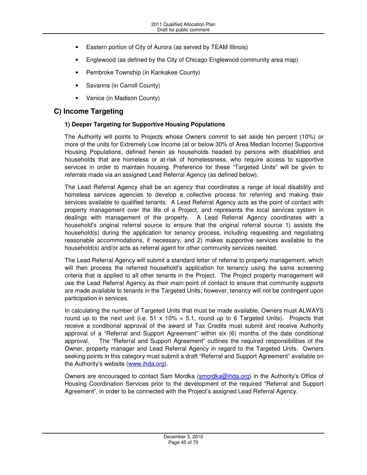- Eastern portion of City of Aurora (as served by TEAM Illinois)
- Englewood (as defined by the City of Chicago Englewood community area map)
- Pembroke Township (in Kankakee County)
- Savanna (in Carroll County)
- Venice (in Madison County)

### **C) Income Targeting**

### **1) Deeper Targeting for Supportive Housing Populations**

The Authority will points to Projects whose Owners commit to set aside ten percent (10%) or more of the units for Extremely Low Income (at or below 30% of Area Median Income) Supportive Housing Populations, defined herein as households headed by persons with disabilities and households that are homeless or at-risk of homelessness, who require access to supportive services in order to maintain housing. Preference for these "Targeted Units" will be given to referrals made via an assigned Lead Referral Agency (as defined below).

The Lead Referral Agency shall be an agency that coordinates a range of local disability and homeless services agencies to develop a collective process for referring and making their services available to qualified tenants. A Lead Referral Agency acts as the point of contact with property management over the life of a Project, and represents the local services system in dealings with management of the property. A Lead Referral Agency coordinates with a household's original referral source to ensure that the original referral source 1) assists the household(s) during the application for tenancy process, including requesting and negotiating reasonable accommodations, if necessary, and 2) makes supportive services available to the household(s) and/or acts as referral agent for other community services needed.

The Lead Referral Agency will submit a standard letter of referral to property management, which will then process the referred household's application for tenancy using the same screening criteria that is applied to all other tenants in the Project. The Project property management will use the Lead Referral Agency as their main point of contact to ensure that community supports are made available to tenants in the Targeted Units; however, tenancy will not be contingent upon participation in services.

In calculating the number of Targeted Units that must be made available, Owners must ALWAYS round up to the next unit (i.e.  $51 \times 10\% = 5.1$ , round up to 6 Targeted Units). Projects that receive a conditional approval of the award of Tax Credits must submit and receive Authority approval of a "Referral and Support Agreement" within six (6) months of the date conditional approval. The "Referral and Support Agreement" outlines the required responsibilities of the Owner, property manager and Lead Referral Agency in regard to the Targeted Units. Owners seeking points in this category must submit a draft "Referral and Support Agreement" available on the Authority's website (www.ihda.org).

Owners are encouraged to contact Sam Mordka (smordka@ihda.org) in the Authority's Office of Housing Coordination Services prior to the development of the required "Referral and Support Agreement", in order to be connected with the Project's assigned Lead Referral Agency.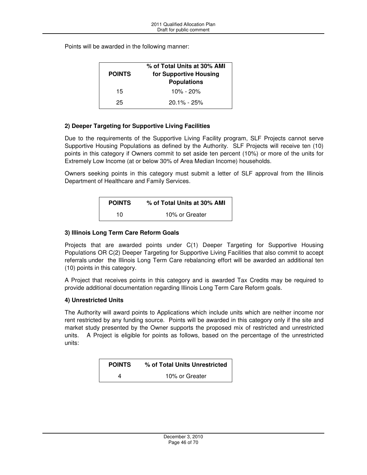Points will be awarded in the following manner:

| <b>POINTS</b> | % of Total Units at 30% AMI<br>for Supportive Housing<br><b>Populations</b> |
|---------------|-----------------------------------------------------------------------------|
| 15            | $10\% - 20\%$                                                               |
| 25            | $20.1\% - 25\%$                                                             |

### **2) Deeper Targeting for Supportive Living Facilities**

Due to the requirements of the Supportive Living Facility program, SLF Projects cannot serve Supportive Housing Populations as defined by the Authority. SLF Projects will receive ten (10) points in this category if Owners commit to set aside ten percent (10%) or more of the units for Extremely Low Income (at or below 30% of Area Median Income) households.

Owners seeking points in this category must submit a letter of SLF approval from the Illinois Department of Healthcare and Family Services.

| <b>POINTS</b> | % of Total Units at 30% AMI |
|---------------|-----------------------------|
| 10            | 10% or Greater              |

### **3) Illinois Long Term Care Reform Goals**

Projects that are awarded points under C(1) Deeper Targeting for Supportive Housing Populations OR C(2) Deeper Targeting for Supportive Living Facilities that also commit to accept referrals under the Illinois Long Term Care rebalancing effort will be awarded an additional ten (10) points in this category.

A Project that receives points in this category and is awarded Tax Credits may be required to provide additional documentation regarding Illinois Long Term Care Reform goals.

### **4) Unrestricted Units**

The Authority will award points to Applications which include units which are neither income nor rent restricted by any funding source. Points will be awarded in this category only if the site and market study presented by the Owner supports the proposed mix of restricted and unrestricted units. A Project is eligible for points as follows, based on the percentage of the unrestricted units:

| <b>POINTS</b> | % of Total Units Unrestricted |
|---------------|-------------------------------|
| 4             | 10% or Greater                |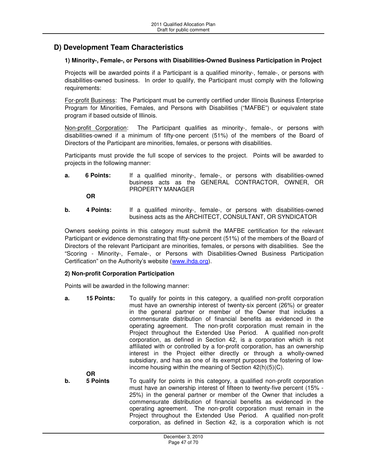## **D) Development Team Characteristics**

### **1) Minority-, Female-, or Persons with Disabilities-Owned Business Participation in Project**

Projects will be awarded points if a Participant is a qualified minority-, female-, or persons with disabilities-owned business. In order to qualify, the Participant must comply with the following requirements:

For-profit Business: The Participant must be currently certified under Illinois Business Enterprise Program for Minorities, Females, and Persons with Disabilities ("MAFBE") or equivalent state program if based outside of Illinois.

Non-profit Corporation: The Participant qualifies as minority-, female-, or persons with disabilities-owned if a minimum of fifty-one percent (51%) of the members of the Board of Directors of the Participant are minorities, females, or persons with disabilities.

Participants must provide the full scope of services to the project. Points will be awarded to projects in the following manner:

**a.** 6 Points: If a qualified minority-, female-, or persons with disabilities-owned business acts as the GENERAL CONTRACTOR, OWNER, OR PROPERTY MANAGER

**OR** 

**b.** 4 Points: If a qualified minority-, female-, or persons with disabilities-owned business acts as the ARCHITECT, CONSULTANT, OR SYNDICATOR

Owners seeking points in this category must submit the MAFBE certification for the relevant Participant or evidence demonstrating that fifty-one percent (51%) of the members of the Board of Directors of the relevant Participant are minorities, females, or persons with disabilities. See the "Scoring - Minority-, Female-, or Persons with Disabilities-Owned Business Participation Certification" on the Authority's website (www.ihda.org).

### **2) Non-profit Corporation Participation**

Points will be awarded in the following manner:

**a. 15 Points:** To qualify for points in this category, a qualified non-profit corporation must have an ownership interest of twenty-six percent (26%) or greater in the general partner or member of the Owner that includes a commensurate distribution of financial benefits as evidenced in the operating agreement. The non-profit corporation must remain in the Project throughout the Extended Use Period. A qualified non-profit corporation, as defined in Section 42, is a corporation which is not affiliated with or controlled by a for-profit corporation, has an ownership interest in the Project either directly or through a wholly-owned subsidiary, and has as one of its exempt purposes the fostering of lowincome housing within the meaning of Section 42(h)(5)(C).

 **OR b.** 5 **Points To qualify for points in this category, a qualified non-profit corporation** must have an ownership interest of fifteen to twenty-five percent (15% - 25%) in the general partner or member of the Owner that includes a commensurate distribution of financial benefits as evidenced in the operating agreement. The non-profit corporation must remain in the Project throughout the Extended Use Period. A qualified non-profit corporation, as defined in Section 42, is a corporation which is not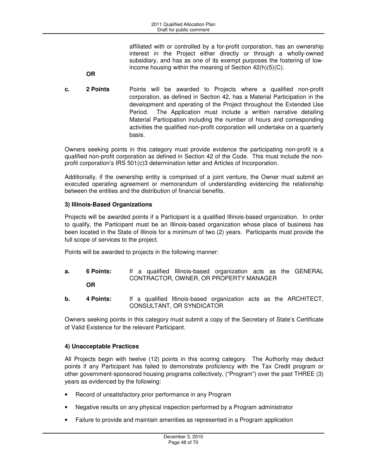affiliated with or controlled by a for-profit corporation, has an ownership interest in the Project either directly or through a wholly-owned subsidiary, and has as one of its exempt purposes the fostering of lowincome housing within the meaning of Section 42(h)(5)(C).

- **OR**
- **c. 2 Points** Points will be awarded to Projects where a qualified non-profit corporation, as defined in Section 42, has a Material Participation in the development and operating of the Project throughout the Extended Use Period. The Application must include a written narrative detailing Material Participation including the number of hours and corresponding activities the qualified non-profit corporation will undertake on a quarterly basis.

Owners seeking points in this category must provide evidence the participating non-profit is a qualified non-profit corporation as defined in Section 42 of the Code. This must include the nonprofit corporation's IRS 501(c)3 determination letter and Articles of Incorporation.

Additionally, if the ownership entity is comprised of a joint venture, the Owner must submit an executed operating agreement or memorandum of understanding evidencing the relationship between the entities and the distribution of financial benefits.

### **3) Illinois-Based Organizations**

Projects will be awarded points if a Participant is a qualified Illinois-based organization. In order to qualify, the Participant must be an Illinois-based organization whose place of business has been located in the State of Illinois for a minimum of two (2) years. Participants must provide the full scope of services to the project.

Points will be awarded to projects in the following manner:

- **a. 6 Points:** If a qualified Illinois-based organization acts as the GENERAL CONTRACTOR, OWNER, OR PROPERTY MANAGER **OR**
- **b. 4 Points:** If a qualified Illinois-based organization acts as the ARCHITECT, CONSULTANT, OR SYNDICATOR

Owners seeking points in this category must submit a copy of the Secretary of State's Certificate of Valid Existence for the relevant Participant.

### **4) Unacceptable Practices**

All Projects begin with twelve (12) points in this scoring category. The Authority may deduct points if any Participant has failed to demonstrate proficiency with the Tax Credit program or other government-sponsored housing programs collectively, ("Program") over the past THREE (3) years as evidenced by the following:

- Record of unsatisfactory prior performance in any Program
- Negative results on any physical inspection performed by a Program administrator
- Failure to provide and maintain amenities as represented in a Program application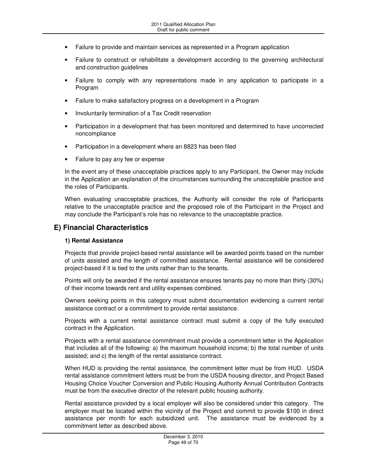- Failure to provide and maintain services as represented in a Program application
- Failure to construct or rehabilitate a development according to the governing architectural and construction guidelines
- Failure to comply with any representations made in any application to participate in a Program
- Failure to make satisfactory progress on a development in a Program
- Involuntarily termination of a Tax Credit reservation
- Participation in a development that has been monitored and determined to have uncorrected noncompliance
- Participation in a development where an 8823 has been filed
- Failure to pay any fee or expense

In the event any of these unacceptable practices apply to any Participant, the Owner may include in the Application an explanation of the circumstances surrounding the unacceptable practice and the roles of Participants.

When evaluating unacceptable practices, the Authority will consider the role of Participants relative to the unacceptable practice and the proposed role of the Participant in the Project and may conclude the Participant's role has no relevance to the unacceptable practice.

### **E) Financial Characteristics**

#### **1) Rental Assistance**

Projects that provide project-based rental assistance will be awarded points based on the number of units assisted and the length of committed assistance. Rental assistance will be considered project-based if it is tied to the units rather than to the tenants.

Points will only be awarded if the rental assistance ensures tenants pay no more than thirty (30%) of their income towards rent and utility expenses combined.

Owners seeking points in this category must submit documentation evidencing a current rental assistance contract or a commitment to provide rental assistance.

Projects with a current rental assistance contract must submit a copy of the fully executed contract in the Application.

Projects with a rental assistance commitment must provide a commitment letter in the Application that includes all of the following: a) the maximum household income; b) the total number of units assisted; and c) the length of the rental assistance contract.

When HUD is providing the rental assistance, the commitment letter must be from HUD. USDA rental assistance commitment letters must be from the USDA housing director, and Project Based Housing Choice Voucher Conversion and Public Housing Authority Annual Contribution Contracts must be from the executive director of the relevant public housing authority.

Rental assistance provided by a local employer will also be considered under this category. The employer must be located within the vicinity of the Project and commit to provide \$100 in direct assistance per month for each subsidized unit. The assistance must be evidenced by a commitment letter as described above.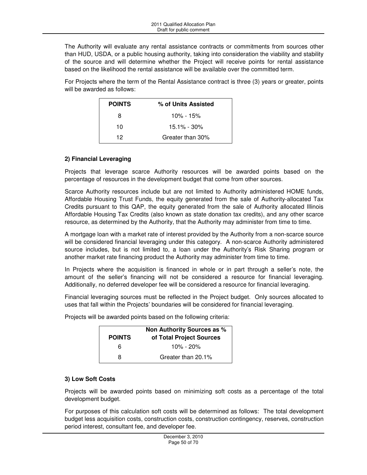The Authority will evaluate any rental assistance contracts or commitments from sources other than HUD, USDA, or a public housing authority, taking into consideration the viability and stability of the source and will determine whether the Project will receive points for rental assistance based on the likelihood the rental assistance will be available over the committed term.

For Projects where the term of the Rental Assistance contract is three (3) years or greater, points will be awarded as follows:

| <b>POINTS</b> | % of Units Assisted |
|---------------|---------------------|
| 8             | 10% - 15%           |
| 10            | $15.1\% - 30\%$     |
| 12            | Greater than 30%    |

### **2) Financial Leveraging**

Projects that leverage scarce Authority resources will be awarded points based on the percentage of resources in the development budget that come from other sources.

Scarce Authority resources include but are not limited to Authority administered HOME funds, Affordable Housing Trust Funds, the equity generated from the sale of Authority-allocated Tax Credits pursuant to this QAP, the equity generated from the sale of Authority allocated Illinois Affordable Housing Tax Credits (also known as state donation tax credits), and any other scarce resource, as determined by the Authority, that the Authority may administer from time to time.

A mortgage loan with a market rate of interest provided by the Authority from a non-scarce source will be considered financial leveraging under this category. A non-scarce Authority administered source includes, but is not limited to, a loan under the Authority's Risk Sharing program or another market rate financing product the Authority may administer from time to time.

In Projects where the acquisition is financed in whole or in part through a seller's note, the amount of the seller's financing will not be considered a resource for financial leveraging. Additionally, no deferred developer fee will be considered a resource for financial leveraging.

Financial leveraging sources must be reflected in the Project budget. Only sources allocated to uses that fall within the Projects' boundaries will be considered for financial leveraging.

| <b>POINTS</b> | Non Authority Sources as %<br>of Total Project Sources |
|---------------|--------------------------------------------------------|
| հ             | $10\% - 20\%$                                          |
| я             | Greater than 20.1%                                     |

Projects will be awarded points based on the following criteria:

### **3) Low Soft Costs**

Projects will be awarded points based on minimizing soft costs as a percentage of the total development budget.

For purposes of this calculation soft costs will be determined as follows: The total development budget less acquisition costs, construction costs, construction contingency, reserves, construction period interest, consultant fee, and developer fee.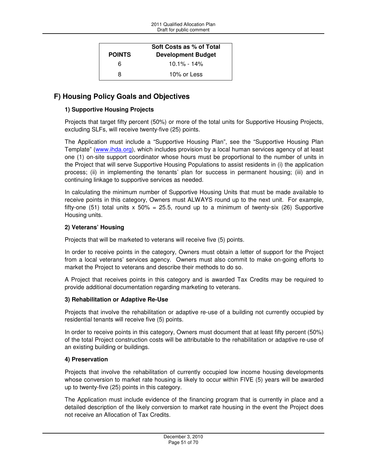| <b>POINTS</b> | Soft Costs as % of Total<br><b>Development Budget</b> |
|---------------|-------------------------------------------------------|
| 6             | $10.1\% - 14\%$                                       |
| 8             | 10% or Less                                           |

# **F) Housing Policy Goals and Objectives**

### **1) Supportive Housing Projects**

Projects that target fifty percent (50%) or more of the total units for Supportive Housing Projects, excluding SLFs, will receive twenty-five (25) points.

The Application must include a "Supportive Housing Plan", see the "Supportive Housing Plan Template" (www.ihda.org), which includes provision by a local human services agency of at least one (1) on-site support coordinator whose hours must be proportional to the number of units in the Project that will serve Supportive Housing Populations to assist residents in (i) the application process; (ii) in implementing the tenants' plan for success in permanent housing; (iii) and in continuing linkage to supportive services as needed.

In calculating the minimum number of Supportive Housing Units that must be made available to receive points in this category, Owners must ALWAYS round up to the next unit. For example, fifty-one (51) total units  $x$  50% = 25.5, round up to a minimum of twenty-six (26) Supportive Housing units.

### **2) Veterans' Housing**

Projects that will be marketed to veterans will receive five (5) points.

In order to receive points in the category, Owners must obtain a letter of support for the Project from a local veterans' services agency. Owners must also commit to make on-going efforts to market the Project to veterans and describe their methods to do so.

A Project that receives points in this category and is awarded Tax Credits may be required to provide additional documentation regarding marketing to veterans.

### **3) Rehabilitation or Adaptive Re-Use**

Projects that involve the rehabilitation or adaptive re-use of a building not currently occupied by residential tenants will receive five (5) points.

In order to receive points in this category, Owners must document that at least fifty percent (50%) of the total Project construction costs will be attributable to the rehabilitation or adaptive re-use of an existing building or buildings.

### **4) Preservation**

Projects that involve the rehabilitation of currently occupied low income housing developments whose conversion to market rate housing is likely to occur within FIVE (5) years will be awarded up to twenty-five (25) points in this category.

The Application must include evidence of the financing program that is currently in place and a detailed description of the likely conversion to market rate housing in the event the Project does not receive an Allocation of Tax Credits.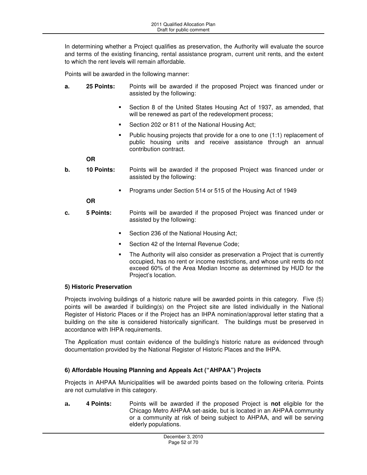In determining whether a Project qualifies as preservation, the Authority will evaluate the source and terms of the existing financing, rental assistance program, current unit rents, and the extent to which the rent levels will remain affordable.

Points will be awarded in the following manner:

- **a. 25 Points:** Points will be awarded if the proposed Project was financed under or assisted by the following:
	- Section 8 of the United States Housing Act of 1937, as amended, that will be renewed as part of the redevelopment process;
	- Section 202 or 811 of the National Housing Act;
	- Public housing projects that provide for a one to one (1:1) replacement of public housing units and receive assistance through an annual contribution contract.

### **OR**

- **b. 10 Points:** Points will be awarded if the proposed Project was financed under or assisted by the following:
	- Programs under Section 514 or 515 of the Housing Act of 1949

### **OR**

- **c.** 5 Points: Points will be awarded if the proposed Project was financed under or assisted by the following:
	- **Section 236 of the National Housing Act;**
	- Section 42 of the Internal Revenue Code;
	- The Authority will also consider as preservation a Project that is currently occupied, has no rent or income restrictions, and whose unit rents do not exceed 60% of the Area Median Income as determined by HUD for the Project's location.

### **5) Historic Preservation**

Projects involving buildings of a historic nature will be awarded points in this category. Five (5) points will be awarded if building(s) on the Project site are listed individually in the National Register of Historic Places or if the Project has an IHPA nomination/approval letter stating that a building on the site is considered historically significant. The buildings must be preserved in accordance with IHPA requirements.

The Application must contain evidence of the building's historic nature as evidenced through documentation provided by the National Register of Historic Places and the IHPA.

### **6) Affordable Housing Planning and Appeals Act ("AHPAA") Projects**

Projects in AHPAA Municipalities will be awarded points based on the following criteria. Points are not cumulative in this category.

**a. 4 Points:** Points will be awarded if the proposed Project is **not** eligible for the Chicago Metro AHPAA set-aside, but is located in an AHPAA community or a community at risk of being subject to AHPAA, and will be serving elderly populations.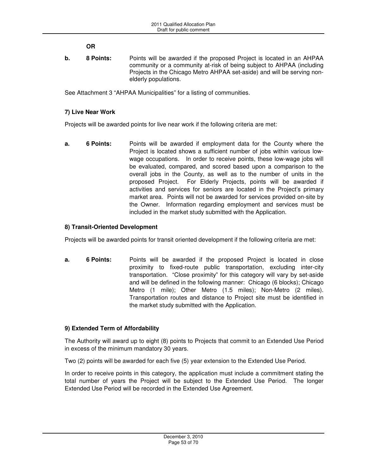**OR** 

**b.** 8 Points: Points will be awarded if the proposed Project is located in an AHPAA community or a community at-risk of being subject to AHPAA (including Projects in the Chicago Metro AHPAA set-aside) and will be serving nonelderly populations.

See Attachment 3 "AHPAA Municipalities" for a listing of communities.

### **7) Live Near Work**

Projects will be awarded points for live near work if the following criteria are met:

**a.** 6 Points: Points will be awarded if employment data for the County where the Project is located shows a sufficient number of jobs within various lowwage occupations. In order to receive points, these low-wage jobs will be evaluated, compared, and scored based upon a comparison to the overall jobs in the County, as well as to the number of units in the proposed Project. For Elderly Projects, points will be awarded if activities and services for seniors are located in the Project's primary market area. Points will not be awarded for services provided on-site by the Owner. Information regarding employment and services must be included in the market study submitted with the Application.

### **8) Transit-Oriented Development**

Projects will be awarded points for transit oriented development if the following criteria are met:

**a.** 6 Points: Points will be awarded if the proposed Project is located in close proximity to fixed-route public transportation, excluding inter-city transportation. "Close proximity" for this category will vary by set-aside and will be defined in the following manner: Chicago (6 blocks); Chicago Metro (1 mile); Other Metro (1.5 miles); Non-Metro (2 miles). Transportation routes and distance to Project site must be identified in the market study submitted with the Application.

### **9) Extended Term of Affordability**

The Authority will award up to eight (8) points to Projects that commit to an Extended Use Period in excess of the minimum mandatory 30 years.

Two (2) points will be awarded for each five (5) year extension to the Extended Use Period.

In order to receive points in this category, the application must include a commitment stating the total number of years the Project will be subject to the Extended Use Period. The longer Extended Use Period will be recorded in the Extended Use Agreement.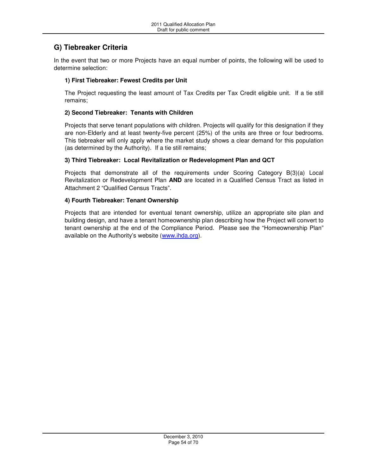# **G) Tiebreaker Criteria**

In the event that two or more Projects have an equal number of points, the following will be used to determine selection:

### **1) First Tiebreaker: Fewest Credits per Unit**

The Project requesting the least amount of Tax Credits per Tax Credit eligible unit. If a tie still remains;

### **2) Second Tiebreaker: Tenants with Children**

Projects that serve tenant populations with children. Projects will qualify for this designation if they are non-Elderly and at least twenty-five percent (25%) of the units are three or four bedrooms. This tiebreaker will only apply where the market study shows a clear demand for this population (as determined by the Authority). If a tie still remains;

### **3) Third Tiebreaker: Local Revitalization or Redevelopment Plan and QCT**

Projects that demonstrate all of the requirements under Scoring Category B(3)(a) Local Revitalization or Redevelopment Plan **AND** are located in a Qualified Census Tract as listed in Attachment 2 "Qualified Census Tracts".

### **4) Fourth Tiebreaker: Tenant Ownership**

Projects that are intended for eventual tenant ownership, utilize an appropriate site plan and building design, and have a tenant homeownership plan describing how the Project will convert to tenant ownership at the end of the Compliance Period. Please see the "Homeownership Plan" available on the Authority's website (www.ihda.org).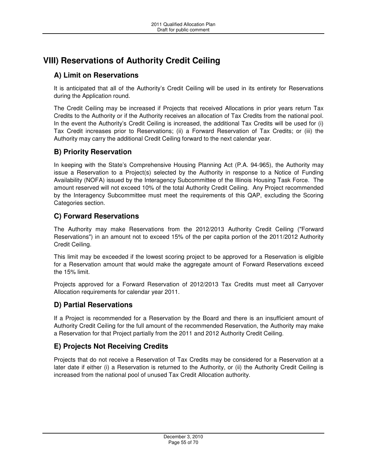# **VIII) Reservations of Authority Credit Ceiling**

# **A) Limit on Reservations**

It is anticipated that all of the Authority's Credit Ceiling will be used in its entirety for Reservations during the Application round.

The Credit Ceiling may be increased if Projects that received Allocations in prior years return Tax Credits to the Authority or if the Authority receives an allocation of Tax Credits from the national pool. In the event the Authority's Credit Ceiling is increased, the additional Tax Credits will be used for (i) Tax Credit increases prior to Reservations; (ii) a Forward Reservation of Tax Credits; or (iii) the Authority may carry the additional Credit Ceiling forward to the next calendar year.

# **B) Priority Reservation**

In keeping with the State's Comprehensive Housing Planning Act (P.A. 94-965), the Authority may issue a Reservation to a Project(s) selected by the Authority in response to a Notice of Funding Availability (NOFA) issued by the Interagency Subcommittee of the Illinois Housing Task Force. The amount reserved will not exceed 10% of the total Authority Credit Ceiling. Any Project recommended by the Interagency Subcommittee must meet the requirements of this QAP, excluding the Scoring Categories section.

# **C) Forward Reservations**

The Authority may make Reservations from the 2012/2013 Authority Credit Ceiling ("Forward Reservations") in an amount not to exceed 15% of the per capita portion of the 2011/2012 Authority Credit Ceiling.

This limit may be exceeded if the lowest scoring project to be approved for a Reservation is eligible for a Reservation amount that would make the aggregate amount of Forward Reservations exceed the 15% limit.

Projects approved for a Forward Reservation of 2012/2013 Tax Credits must meet all Carryover Allocation requirements for calendar year 2011.

# **D) Partial Reservations**

If a Project is recommended for a Reservation by the Board and there is an insufficient amount of Authority Credit Ceiling for the full amount of the recommended Reservation, the Authority may make a Reservation for that Project partially from the 2011 and 2012 Authority Credit Ceiling.

# **E) Projects Not Receiving Credits**

Projects that do not receive a Reservation of Tax Credits may be considered for a Reservation at a later date if either (i) a Reservation is returned to the Authority, or (ii) the Authority Credit Ceiling is increased from the national pool of unused Tax Credit Allocation authority.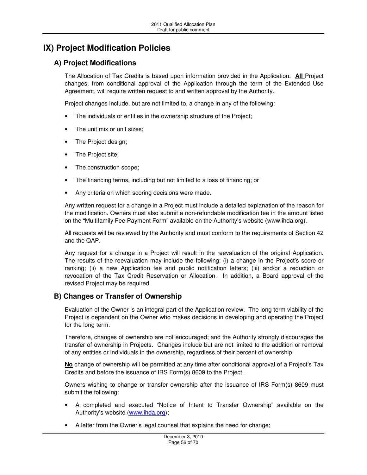# **IX) Project Modification Policies**

# **A) Project Modifications**

The Allocation of Tax Credits is based upon information provided in the Application. **All** Project changes, from conditional approval of the Application through the term of the Extended Use Agreement, will require written request to and written approval by the Authority.

Project changes include, but are not limited to, a change in any of the following:

- The individuals or entities in the ownership structure of the Project;
- The unit mix or unit sizes;
- The Project design;
- The Project site;
- The construction scope;
- The financing terms, including but not limited to a loss of financing; or
- Any criteria on which scoring decisions were made.

Any written request for a change in a Project must include a detailed explanation of the reason for the modification. Owners must also submit a non-refundable modification fee in the amount listed on the "Multifamily Fee Payment Form" available on the Authority's website (www.ihda.org).

All requests will be reviewed by the Authority and must conform to the requirements of Section 42 and the QAP.

Any request for a change in a Project will result in the reevaluation of the original Application. The results of the reevaluation may include the following: (i) a change in the Project's score or ranking; (ii) a new Application fee and public notification letters; (iii) and/or a reduction or revocation of the Tax Credit Reservation or Allocation. In addition, a Board approval of the revised Project may be required.

### **B) Changes or Transfer of Ownership**

Evaluation of the Owner is an integral part of the Application review. The long term viability of the Project is dependent on the Owner who makes decisions in developing and operating the Project for the long term.

Therefore, changes of ownership are not encouraged; and the Authority strongly discourages the transfer of ownership in Projects. Changes include but are not limited to the addition or removal of any entities or individuals in the ownership, regardless of their percent of ownership.

**No** change of ownership will be permitted at any time after conditional approval of a Project's Tax Credits and before the issuance of IRS Form(s) 8609 to the Project.

Owners wishing to change or transfer ownership after the issuance of IRS Form(s) 8609 must submit the following:

- A completed and executed "Notice of Intent to Transfer Ownership" available on the Authority's website (www.ihda.org);
- A letter from the Owner's legal counsel that explains the need for change;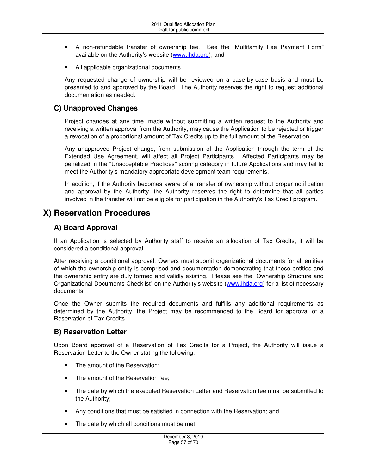- A non-refundable transfer of ownership fee. See the "Multifamily Fee Payment Form" available on the Authority's website (www.ihda.org); and
- All applicable organizational documents.

Any requested change of ownership will be reviewed on a case-by-case basis and must be presented to and approved by the Board. The Authority reserves the right to request additional documentation as needed.

### **C) Unapproved Changes**

Project changes at any time, made without submitting a written request to the Authority and receiving a written approval from the Authority, may cause the Application to be rejected or trigger a revocation of a proportional amount of Tax Credits up to the full amount of the Reservation.

Any unapproved Project change, from submission of the Application through the term of the Extended Use Agreement, will affect all Project Participants. Affected Participants may be penalized in the "Unacceptable Practices" scoring category in future Applications and may fail to meet the Authority's mandatory appropriate development team requirements.

In addition, if the Authority becomes aware of a transfer of ownership without proper notification and approval by the Authority, the Authority reserves the right to determine that all parties involved in the transfer will not be eligible for participation in the Authority's Tax Credit program.

# **X) Reservation Procedures**

## **A) Board Approval**

If an Application is selected by Authority staff to receive an allocation of Tax Credits, it will be considered a conditional approval.

After receiving a conditional approval, Owners must submit organizational documents for all entities of which the ownership entity is comprised and documentation demonstrating that these entities and the ownership entity are duly formed and validly existing. Please see the "Ownership Structure and Organizational Documents Checklist" on the Authority's website (www.ihda.org) for a list of necessary documents.

Once the Owner submits the required documents and fulfills any additional requirements as determined by the Authority, the Project may be recommended to the Board for approval of a Reservation of Tax Credits.

# **B) Reservation Letter**

Upon Board approval of a Reservation of Tax Credits for a Project, the Authority will issue a Reservation Letter to the Owner stating the following:

- The amount of the Reservation;
- The amount of the Reservation fee:
- The date by which the executed Reservation Letter and Reservation fee must be submitted to the Authority;
- Any conditions that must be satisfied in connection with the Reservation; and
- The date by which all conditions must be met.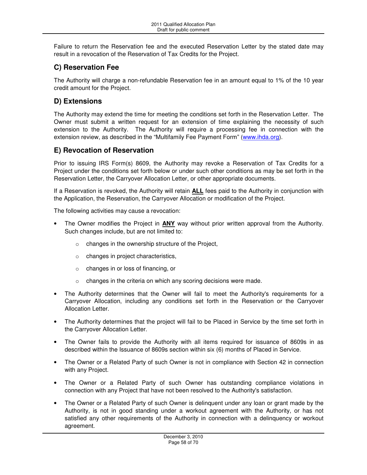Failure to return the Reservation fee and the executed Reservation Letter by the stated date may result in a revocation of the Reservation of Tax Credits for the Project.

# **C) Reservation Fee**

The Authority will charge a non-refundable Reservation fee in an amount equal to 1% of the 10 year credit amount for the Project.

# **D) Extensions**

The Authority may extend the time for meeting the conditions set forth in the Reservation Letter. The Owner must submit a written request for an extension of time explaining the necessity of such extension to the Authority. The Authority will require a processing fee in connection with the extension review, as described in the "Multifamily Fee Payment Form" (www.ihda.org).

# **E) Revocation of Reservation**

Prior to issuing IRS Form(s) 8609, the Authority may revoke a Reservation of Tax Credits for a Project under the conditions set forth below or under such other conditions as may be set forth in the Reservation Letter, the Carryover Allocation Letter, or other appropriate documents.

If a Reservation is revoked, the Authority will retain **ALL** fees paid to the Authority in conjunction with the Application, the Reservation, the Carryover Allocation or modification of the Project.

The following activities may cause a revocation:

- The Owner modifies the Project in **ANY** way without prior written approval from the Authority. Such changes include, but are not limited to:
	- o changes in the ownership structure of the Project,
	- o changes in project characteristics,
	- o changes in or loss of financing, or
	- o changes in the criteria on which any scoring decisions were made.
- The Authority determines that the Owner will fail to meet the Authority's requirements for a Carryover Allocation, including any conditions set forth in the Reservation or the Carryover Allocation Letter.
- The Authority determines that the project will fail to be Placed in Service by the time set forth in the Carryover Allocation Letter.
- The Owner fails to provide the Authority with all items required for issuance of 8609s in as described within the Issuance of 8609s section within six (6) months of Placed in Service.
- The Owner or a Related Party of such Owner is not in compliance with Section 42 in connection with any Project.
- The Owner or a Related Party of such Owner has outstanding compliance violations in connection with any Project that have not been resolved to the Authority's satisfaction.
- The Owner or a Related Party of such Owner is delinquent under any loan or grant made by the Authority, is not in good standing under a workout agreement with the Authority, or has not satisfied any other requirements of the Authority in connection with a delinquency or workout agreement.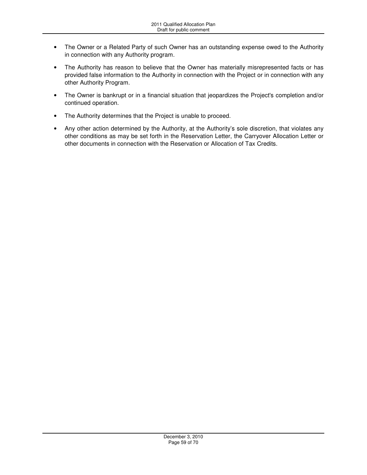- The Owner or a Related Party of such Owner has an outstanding expense owed to the Authority in connection with any Authority program.
- The Authority has reason to believe that the Owner has materially misrepresented facts or has provided false information to the Authority in connection with the Project or in connection with any other Authority Program.
- The Owner is bankrupt or in a financial situation that jeopardizes the Project's completion and/or continued operation.
- The Authority determines that the Project is unable to proceed.
- Any other action determined by the Authority, at the Authority's sole discretion, that violates any other conditions as may be set forth in the Reservation Letter, the Carryover Allocation Letter or other documents in connection with the Reservation or Allocation of Tax Credits.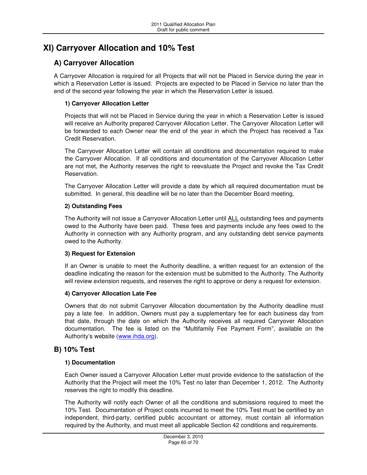# **XI) Carryover Allocation and 10% Test**

# **A) Carryover Allocation**

A Carryover Allocation is required for all Projects that will not be Placed in Service during the year in which a Reservation Letter is issued. Projects are expected to be Placed in Service no later than the end of the second year following the year in which the Reservation Letter is issued.

### **1) Carryover Allocation Letter**

Projects that will not be Placed in Service during the year in which a Reservation Letter is issued will receive an Authority prepared Carryover Allocation Letter. The Carryover Allocation Letter will be forwarded to each Owner near the end of the year in which the Project has received a Tax Credit Reservation.

The Carryover Allocation Letter will contain all conditions and documentation required to make the Carryover Allocation. If all conditions and documentation of the Carryover Allocation Letter are not met, the Authority reserves the right to reevaluate the Project and revoke the Tax Credit Reservation.

The Carryover Allocation Letter will provide a date by which all required documentation must be submitted. In general, this deadline will be no later than the December Board meeting.

### **2) Outstanding Fees**

The Authority will not issue a Carryover Allocation Letter until ALL outstanding fees and payments owed to the Authority have been paid. These fees and payments include any fees owed to the Authority in connection with any Authority program, and any outstanding debt service payments owed to the Authority.

### **3) Request for Extension**

If an Owner is unable to meet the Authority deadline, a written request for an extension of the deadline indicating the reason for the extension must be submitted to the Authority. The Authority will review extension requests, and reserves the right to approve or deny a request for extension.

### **4) Carryover Allocation Late Fee**

Owners that do not submit Carryover Allocation documentation by the Authority deadline must pay a late fee. In addition, Owners must pay a supplementary fee for each business day from that date, through the date on which the Authority receives all required Carryover Allocation documentation. The fee is listed on the "Multifamily Fee Payment Form", available on the Authority's website (www.ihda.org).

# **B) 10% Test**

### **1) Documentation**

Each Owner issued a Carryover Allocation Letter must provide evidence to the satisfaction of the Authority that the Project will meet the 10% Test no later than December 1, 2012. The Authority reserves the right to modify this deadline.

The Authority will notify each Owner of all the conditions and submissions required to meet the 10% Test. Documentation of Project costs incurred to meet the 10% Test must be certified by an independent, third-party, certified public accountant or attorney, must contain all information required by the Authority, and must meet all applicable Section 42 conditions and requirements.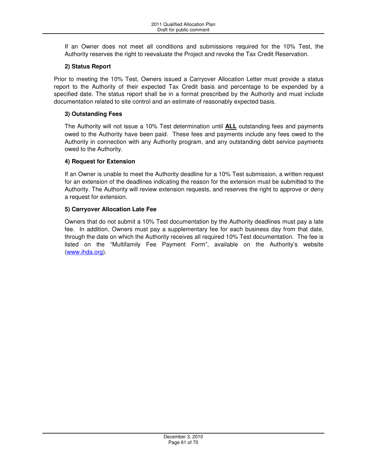If an Owner does not meet all conditions and submissions required for the 10% Test, the Authority reserves the right to reevaluate the Project and revoke the Tax Credit Reservation.

### **2) Status Report**

Prior to meeting the 10% Test, Owners issued a Carryover Allocation Letter must provide a status report to the Authority of their expected Tax Credit basis and percentage to be expended by a specified date. The status report shall be in a format prescribed by the Authority and must include documentation related to site control and an estimate of reasonably expected basis.

### **3) Outstanding Fees**

The Authority will not issue a 10% Test determination until **ALL** outstanding fees and payments owed to the Authority have been paid. These fees and payments include any fees owed to the Authority in connection with any Authority program, and any outstanding debt service payments owed to the Authority.

### **4) Request for Extension**

If an Owner is unable to meet the Authority deadline for a 10% Test submission, a written request for an extension of the deadlines indicating the reason for the extension must be submitted to the Authority. The Authority will review extension requests, and reserves the right to approve or deny a request for extension.

### **5) Carryover Allocation Late Fee**

Owners that do not submit a 10% Test documentation by the Authority deadlines must pay a late fee. In addition, Owners must pay a supplementary fee for each business day from that date, through the date on which the Authority receives all required 10% Test documentation. The fee is listed on the "Multifamily Fee Payment Form", available on the Authority's website (www.ihda.org).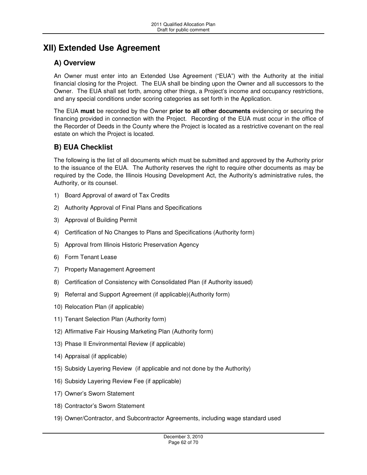# **XII) Extended Use Agreement**

# **A) Overview**

An Owner must enter into an Extended Use Agreement ("EUA") with the Authority at the initial financial closing for the Project. The EUA shall be binding upon the Owner and all successors to the Owner. The EUA shall set forth, among other things, a Project's income and occupancy restrictions, and any special conditions under scoring categories as set forth in the Application.

The EUA **must** be recorded by the Owner **prior to all other documents** evidencing or securing the financing provided in connection with the Project. Recording of the EUA must occur in the office of the Recorder of Deeds in the County where the Project is located as a restrictive covenant on the real estate on which the Project is located.

# **B) EUA Checklist**

The following is the list of all documents which must be submitted and approved by the Authority prior to the issuance of the EUA. The Authority reserves the right to require other documents as may be required by the Code, the Illinois Housing Development Act, the Authority's administrative rules, the Authority, or its counsel.

- 1) Board Approval of award of Tax Credits
- 2) Authority Approval of Final Plans and Specifications
- 3) Approval of Building Permit
- 4) Certification of No Changes to Plans and Specifications (Authority form)
- 5) Approval from Illinois Historic Preservation Agency
- 6) Form Tenant Lease
- 7) Property Management Agreement
- 8) Certification of Consistency with Consolidated Plan (if Authority issued)
- 9) Referral and Support Agreement (if applicable)(Authority form)
- 10) Relocation Plan (if applicable)
- 11) Tenant Selection Plan (Authority form)
- 12) Affirmative Fair Housing Marketing Plan (Authority form)
- 13) Phase II Environmental Review (if applicable)
- 14) Appraisal (if applicable)
- 15) Subsidy Layering Review (if applicable and not done by the Authority)
- 16) Subsidy Layering Review Fee (if applicable)
- 17) Owner's Sworn Statement
- 18) Contractor's Sworn Statement
- 19) Owner/Contractor, and Subcontractor Agreements, including wage standard used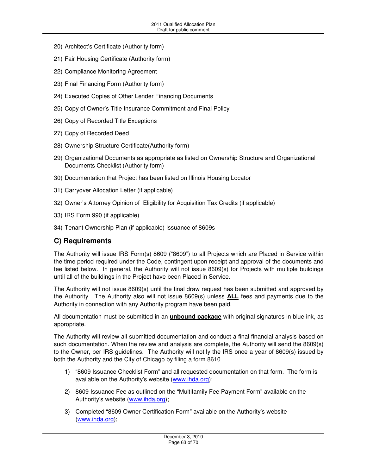- 20) Architect's Certificate (Authority form)
- 21) Fair Housing Certificate (Authority form)
- 22) Compliance Monitoring Agreement
- 23) Final Financing Form (Authority form)
- 24) Executed Copies of Other Lender Financing Documents
- 25) Copy of Owner's Title Insurance Commitment and Final Policy
- 26) Copy of Recorded Title Exceptions
- 27) Copy of Recorded Deed
- 28) Ownership Structure Certificate(Authority form)
- 29) Organizational Documents as appropriate as listed on Ownership Structure and Organizational Documents Checklist (Authority form)
- 30) Documentation that Project has been listed on Illinois Housing Locator
- 31) Carryover Allocation Letter (if applicable)
- 32) Owner's Attorney Opinion of Eligibility for Acquisition Tax Credits (if applicable)
- 33) IRS Form 990 (if applicable)
- 34) Tenant Ownership Plan (if applicable) Issuance of 8609s

### **C) Requirements**

The Authority will issue IRS Form(s) 8609 ("8609") to all Projects which are Placed in Service within the time period required under the Code, contingent upon receipt and approval of the documents and fee listed below. In general, the Authority will not issue 8609(s) for Projects with multiple buildings until all of the buildings in the Project have been Placed in Service.

The Authority will not issue 8609(s) until the final draw request has been submitted and approved by the Authority. The Authority also will not issue 8609(s) unless **ALL** fees and payments due to the Authority in connection with any Authority program have been paid.

All documentation must be submitted in an **unbound package** with original signatures in blue ink, as appropriate.

The Authority will review all submitted documentation and conduct a final financial analysis based on such documentation. When the review and analysis are complete, the Authority will send the 8609(s) to the Owner, per IRS guidelines. The Authority will notify the IRS once a year of 8609(s) issued by both the Authority and the City of Chicago by filing a form 8610. .

- 1) "8609 Issuance Checklist Form" and all requested documentation on that form. The form is available on the Authority's website (www.ihda.org);
- 2) 8609 Issuance Fee as outlined on the "Multifamily Fee Payment Form" available on the Authority's website (www.ihda.org);
- 3) Completed "8609 Owner Certification Form" available on the Authority's website (www.ihda.org);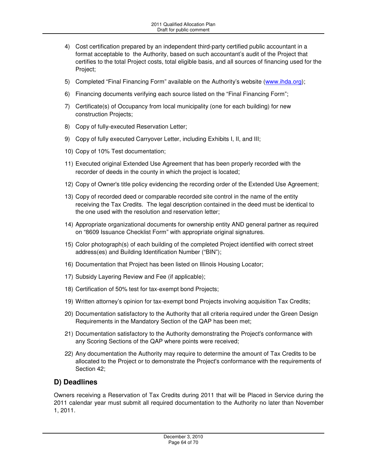- 4) Cost certification prepared by an independent third-party certified public accountant in a format acceptable to the Authority, based on such accountant's audit of the Project that certifies to the total Project costs, total eligible basis, and all sources of financing used for the Project;
- 5) Completed "Final Financing Form" available on the Authority's website (www.ihda.org);
- 6) Financing documents verifying each source listed on the "Final Financing Form";
- 7) Certificate(s) of Occupancy from local municipality (one for each building) for new construction Projects;
- 8) Copy of fully-executed Reservation Letter;
- 9) Copy of fully executed Carryover Letter, including Exhibits I, II, and III;
- 10) Copy of 10% Test documentation;
- 11) Executed original Extended Use Agreement that has been properly recorded with the recorder of deeds in the county in which the project is located;
- 12) Copy of Owner's title policy evidencing the recording order of the Extended Use Agreement;
- 13) Copy of recorded deed or comparable recorded site control in the name of the entity receiving the Tax Credits. The legal description contained in the deed must be identical to the one used with the resolution and reservation letter;
- 14) Appropriate organizational documents for ownership entity AND general partner as required on "8609 Issuance Checklist Form" with appropriate original signatures.
- 15) Color photograph(s) of each building of the completed Project identified with correct street address(es) and Building Identification Number ("BIN");
- 16) Documentation that Project has been listed on Illinois Housing Locator;
- 17) Subsidy Layering Review and Fee (if applicable);
- 18) Certification of 50% test for tax-exempt bond Projects;
- 19) Written attorney's opinion for tax-exempt bond Projects involving acquisition Tax Credits;
- 20) Documentation satisfactory to the Authority that all criteria required under the Green Design Requirements in the Mandatory Section of the QAP has been met;
- 21) Documentation satisfactory to the Authority demonstrating the Project's conformance with any Scoring Sections of the QAP where points were received;
- 22) Any documentation the Authority may require to determine the amount of Tax Credits to be allocated to the Project or to demonstrate the Project's conformance with the requirements of Section 42;

### **D) Deadlines**

Owners receiving a Reservation of Tax Credits during 2011 that will be Placed in Service during the 2011 calendar year must submit all required documentation to the Authority no later than November 1, 2011.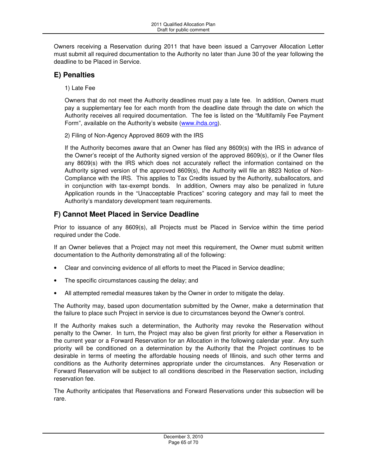Owners receiving a Reservation during 2011 that have been issued a Carryover Allocation Letter must submit all required documentation to the Authority no later than June 30 of the year following the deadline to be Placed in Service.

# **E) Penalties**

1) Late Fee

Owners that do not meet the Authority deadlines must pay a late fee. In addition, Owners must pay a supplementary fee for each month from the deadline date through the date on which the Authority receives all required documentation. The fee is listed on the "Multifamily Fee Payment Form", available on the Authority's website (www.ihda.org).

2) Filing of Non-Agency Approved 8609 with the IRS

If the Authority becomes aware that an Owner has filed any 8609(s) with the IRS in advance of the Owner's receipt of the Authority signed version of the approved 8609(s), or if the Owner files any 8609(s) with the IRS which does not accurately reflect the information contained on the Authority signed version of the approved 8609(s), the Authority will file an 8823 Notice of Non-Compliance with the IRS. This applies to Tax Credits issued by the Authority, suballocators, and in conjunction with tax-exempt bonds. In addition, Owners may also be penalized in future Application rounds in the "Unacceptable Practices" scoring category and may fail to meet the Authority's mandatory development team requirements.

# **F) Cannot Meet Placed in Service Deadline**

Prior to issuance of any 8609(s), all Projects must be Placed in Service within the time period required under the Code.

If an Owner believes that a Project may not meet this requirement, the Owner must submit written documentation to the Authority demonstrating all of the following:

- Clear and convincing evidence of all efforts to meet the Placed in Service deadline;
- The specific circumstances causing the delay; and
- All attempted remedial measures taken by the Owner in order to mitigate the delay.

The Authority may, based upon documentation submitted by the Owner, make a determination that the failure to place such Project in service is due to circumstances beyond the Owner's control.

If the Authority makes such a determination, the Authority may revoke the Reservation without penalty to the Owner. In turn, the Project may also be given first priority for either a Reservation in the current year or a Forward Reservation for an Allocation in the following calendar year. Any such priority will be conditioned on a determination by the Authority that the Project continues to be desirable in terms of meeting the affordable housing needs of Illinois, and such other terms and conditions as the Authority determines appropriate under the circumstances. Any Reservation or Forward Reservation will be subject to all conditions described in the Reservation section, including reservation fee.

The Authority anticipates that Reservations and Forward Reservations under this subsection will be rare.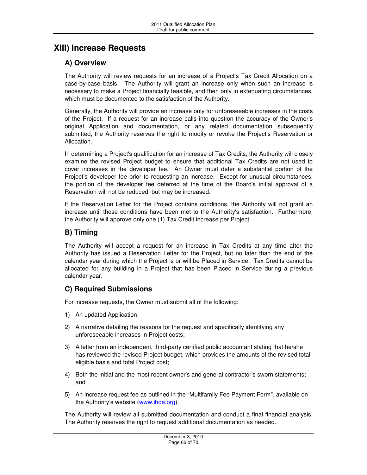# **XIII) Increase Requests**

# **A) Overview**

The Authority will review requests for an increase of a Project's Tax Credit Allocation on a case-by-case basis. The Authority will grant an increase only when such an increase is necessary to make a Project financially feasible, and then only in extenuating circumstances, which must be documented to the satisfaction of the Authority.

Generally, the Authority will provide an increase only for unforeseeable increases in the costs of the Project. If a request for an increase calls into question the accuracy of the Owner's original Application and documentation, or any related documentation subsequently submitted, the Authority reserves the right to modify or revoke the Project's Reservation or Allocation.

In determining a Project's qualification for an increase of Tax Credits, the Authority will closely examine the revised Project budget to ensure that additional Tax Credits are not used to cover increases in the developer fee. An Owner must defer a substantial portion of the Project's developer fee prior to requesting an increase. Except for unusual circumstances, the portion of the developer fee deferred at the time of the Board's initial approval of a Reservation will not be reduced, but may be increased.

If the Reservation Letter for the Project contains conditions, the Authority will not grant an increase until those conditions have been met to the Authority's satisfaction. Furthermore, the Authority will approve only one (1) Tax Credit increase per Project.

# **B) Timing**

The Authority will accept a request for an increase in Tax Credits at any time after the Authority has issued a Reservation Letter for the Project, but no later than the end of the calendar year during which the Project is or will be Placed in Service. Tax Credits cannot be allocated for any building in a Project that has been Placed in Service during a previous calendar year.

# **C) Required Submissions**

For increase requests, the Owner must submit all of the following:

- 1) An updated Application;
- 2) A narrative detailing the reasons for the request and specifically identifying any unforeseeable increases in Project costs;
- 3) A letter from an independent, third-party certified public accountant stating that he/she has reviewed the revised Project budget, which provides the amounts of the revised total eligible basis and total Project cost;
- 4) Both the initial and the most recent owner's and general contractor's sworn statements; and
- 5) An increase request fee as outlined in the "Multifamily Fee Payment Form", available on the Authority's website (www.ihda.org).

The Authority will review all submitted documentation and conduct a final financial analysis. The Authority reserves the right to request additional documentation as needed.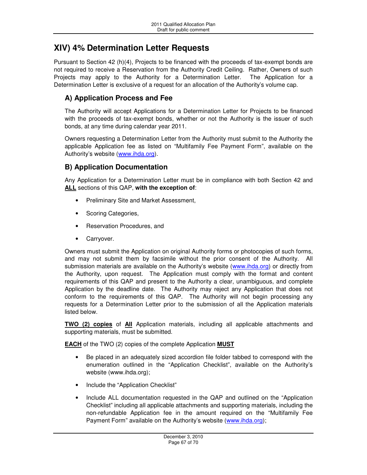# **XIV) 4% Determination Letter Requests**

Pursuant to Section 42 (h)(4), Projects to be financed with the proceeds of tax-exempt bonds are not required to receive a Reservation from the Authority Credit Ceiling. Rather, Owners of such Projects may apply to the Authority for a Determination Letter. The Application for a Determination Letter is exclusive of a request for an allocation of the Authority's volume cap.

# **A) Application Process and Fee**

The Authority will accept Applications for a Determination Letter for Projects to be financed with the proceeds of tax-exempt bonds, whether or not the Authority is the issuer of such bonds, at any time during calendar year 2011.

Owners requesting a Determination Letter from the Authority must submit to the Authority the applicable Application fee as listed on "Multifamily Fee Payment Form", available on the Authority's website (www.ihda.org).

# **B) Application Documentation**

Any Application for a Determination Letter must be in compliance with both Section 42 and **ALL** sections of this QAP, **with the exception of**:

- Preliminary Site and Market Assessment,
- Scoring Categories,
- Reservation Procedures, and
- Carryover.

Owners must submit the Application on original Authority forms or photocopies of such forms, and may not submit them by facsimile without the prior consent of the Authority. All submission materials are available on the Authority's website (www.ihda.org) or directly from the Authority, upon request. The Application must comply with the format and content requirements of this QAP and present to the Authority a clear, unambiguous, and complete Application by the deadline date. The Authority may reject any Application that does not conform to the requirements of this QAP. The Authority will not begin processing any requests for a Determination Letter prior to the submission of all the Application materials listed below.

**TWO (2) copies** of **All** Application materials, including all applicable attachments and supporting materials, must be submitted.

**EACH** of the TWO (2) copies of the complete Application **MUST**

- Be placed in an adequately sized accordion file folder tabbed to correspond with the enumeration outlined in the "Application Checklist", available on the Authority's website (www.ihda.org);
- Include the "Application Checklist"
- Include ALL documentation requested in the QAP and outlined on the "Application Checklist" including all applicable attachments and supporting materials, including the non-refundable Application fee in the amount required on the "Multifamily Fee Payment Form" available on the Authority's website (www.ihda.org);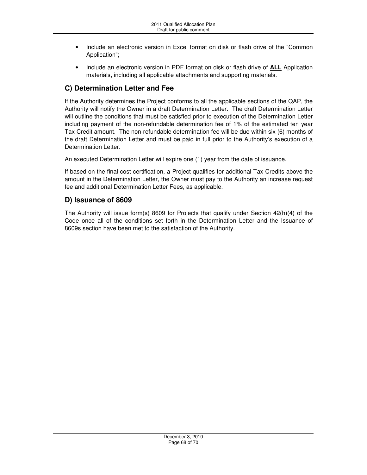- Include an electronic version in Excel format on disk or flash drive of the "Common Application";
- Include an electronic version in PDF format on disk or flash drive of **ALL** Application materials, including all applicable attachments and supporting materials.

# **C) Determination Letter and Fee**

If the Authority determines the Project conforms to all the applicable sections of the QAP, the Authority will notify the Owner in a draft Determination Letter. The draft Determination Letter will outline the conditions that must be satisfied prior to execution of the Determination Letter including payment of the non-refundable determination fee of 1% of the estimated ten year Tax Credit amount. The non-refundable determination fee will be due within six (6) months of the draft Determination Letter and must be paid in full prior to the Authority's execution of a Determination Letter.

An executed Determination Letter will expire one (1) year from the date of issuance.

If based on the final cost certification, a Project qualifies for additional Tax Credits above the amount in the Determination Letter, the Owner must pay to the Authority an increase request fee and additional Determination Letter Fees, as applicable.

# **D) Issuance of 8609**

The Authority will issue form(s) 8609 for Projects that qualify under Section 42(h)(4) of the Code once all of the conditions set forth in the Determination Letter and the Issuance of 8609s section have been met to the satisfaction of the Authority.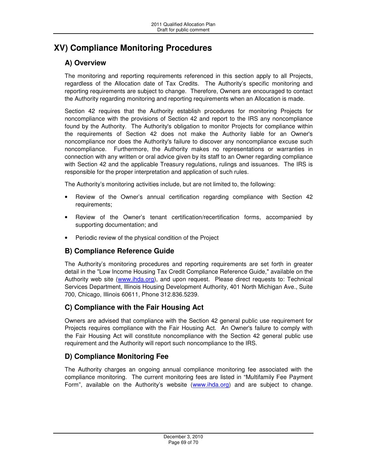# **XV) Compliance Monitoring Procedures**

# **A) Overview**

The monitoring and reporting requirements referenced in this section apply to all Projects, regardless of the Allocation date of Tax Credits. The Authority's specific monitoring and reporting requirements are subject to change. Therefore, Owners are encouraged to contact the Authority regarding monitoring and reporting requirements when an Allocation is made.

Section 42 requires that the Authority establish procedures for monitoring Projects for noncompliance with the provisions of Section 42 and report to the IRS any noncompliance found by the Authority. The Authority's obligation to monitor Projects for compliance within the requirements of Section 42 does not make the Authority liable for an Owner's noncompliance nor does the Authority's failure to discover any noncompliance excuse such noncompliance. Furthermore, the Authority makes no representations or warranties in connection with any written or oral advice given by its staff to an Owner regarding compliance with Section 42 and the applicable Treasury regulations, rulings and issuances. The IRS is responsible for the proper interpretation and application of such rules.

The Authority's monitoring activities include, but are not limited to, the following:

- Review of the Owner's annual certification regarding compliance with Section 42 requirements;
- Review of the Owner's tenant certification/recertification forms, accompanied by supporting documentation; and
- Periodic review of the physical condition of the Project

# **B) Compliance Reference Guide**

The Authority's monitoring procedures and reporting requirements are set forth in greater detail in the "Low Income Housing Tax Credit Compliance Reference Guide," available on the Authority web site (www.ihda.org), and upon request. Please direct requests to: Technical Services Department, Illinois Housing Development Authority, 401 North Michigan Ave., Suite 700, Chicago, Illinois 60611, Phone 312.836.5239.

# **C) Compliance with the Fair Housing Act**

Owners are advised that compliance with the Section 42 general public use requirement for Projects requires compliance with the Fair Housing Act. An Owner's failure to comply with the Fair Housing Act will constitute noncompliance with the Section 42 general public use requirement and the Authority will report such noncompliance to the IRS.

# **D) Compliance Monitoring Fee**

The Authority charges an ongoing annual compliance monitoring fee associated with the compliance monitoring. The current monitoring fees are listed in "Multifamily Fee Payment Form", available on the Authority's website (www.ihda.org) and are subject to change.